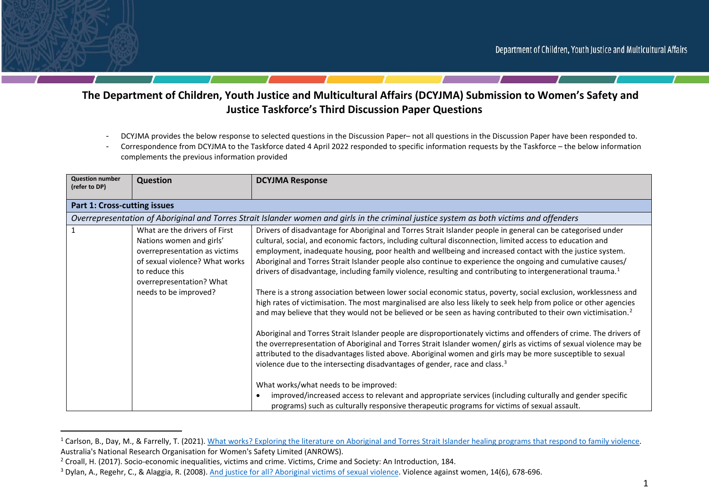

- DCYJMA provides the below response to selected questions in the Discussion Paper– not all questions in the Discussion Paper have been responded to.
- Correspondence from DCYJMA to the Taskforce dated 4 April 2022 responded to specific information requests by the Taskforce the below information complements the previous information provided

| <b>Question number</b><br>(refer to DP) | Question                                                                                                                                                                                            | <b>DCYJMA Response</b>                                                                                                                                                                                                                                                                                                                                                                                                                                                                                                                                                                                                                                                                                                                                                                                                                                                                                                                                                                                                                                                                                                                                                                                                                                                                                                                                                                                                                                                                                                                                                                                                                                        |
|-----------------------------------------|-----------------------------------------------------------------------------------------------------------------------------------------------------------------------------------------------------|---------------------------------------------------------------------------------------------------------------------------------------------------------------------------------------------------------------------------------------------------------------------------------------------------------------------------------------------------------------------------------------------------------------------------------------------------------------------------------------------------------------------------------------------------------------------------------------------------------------------------------------------------------------------------------------------------------------------------------------------------------------------------------------------------------------------------------------------------------------------------------------------------------------------------------------------------------------------------------------------------------------------------------------------------------------------------------------------------------------------------------------------------------------------------------------------------------------------------------------------------------------------------------------------------------------------------------------------------------------------------------------------------------------------------------------------------------------------------------------------------------------------------------------------------------------------------------------------------------------------------------------------------------------|
| <b>Part 1: Cross-cutting issues</b>     |                                                                                                                                                                                                     |                                                                                                                                                                                                                                                                                                                                                                                                                                                                                                                                                                                                                                                                                                                                                                                                                                                                                                                                                                                                                                                                                                                                                                                                                                                                                                                                                                                                                                                                                                                                                                                                                                                               |
|                                         |                                                                                                                                                                                                     | Overrepresentation of Aboriginal and Torres Strait Islander women and girls in the criminal justice system as both victims and offenders                                                                                                                                                                                                                                                                                                                                                                                                                                                                                                                                                                                                                                                                                                                                                                                                                                                                                                                                                                                                                                                                                                                                                                                                                                                                                                                                                                                                                                                                                                                      |
|                                         | What are the drivers of First<br>Nations women and girls'<br>overrepresentation as victims<br>of sexual violence? What works<br>to reduce this<br>overrepresentation? What<br>needs to be improved? | Drivers of disadvantage for Aboriginal and Torres Strait Islander people in general can be categorised under<br>cultural, social, and economic factors, including cultural disconnection, limited access to education and<br>employment, inadequate housing, poor health and wellbeing and increased contact with the justice system.<br>Aboriginal and Torres Strait Islander people also continue to experience the ongoing and cumulative causes/<br>drivers of disadvantage, including family violence, resulting and contributing to intergenerational trauma. <sup>1</sup><br>There is a strong association between lower social economic status, poverty, social exclusion, worklessness and<br>high rates of victimisation. The most marginalised are also less likely to seek help from police or other agencies<br>and may believe that they would not be believed or be seen as having contributed to their own victimisation. <sup>2</sup><br>Aboriginal and Torres Strait Islander people are disproportionately victims and offenders of crime. The drivers of<br>the overrepresentation of Aboriginal and Torres Strait Islander women/ girls as victims of sexual violence may be<br>attributed to the disadvantages listed above. Aboriginal women and girls may be more susceptible to sexual<br>violence due to the intersecting disadvantages of gender, race and class. <sup>3</sup><br>What works/what needs to be improved:<br>improved/increased access to relevant and appropriate services (including culturally and gender specific<br>programs) such as culturally responsive therapeutic programs for victims of sexual assault. |

<sup>&</sup>lt;sup>1</sup> Carlson, B., Day, M., & Farrelly, T. (2021). What works? Exploring the literature on Aboriginal and Torres Strait Islander healing programs that respond to family violence. Australia's National Research Organisation for Women's Safety Limited (ANROWS).

<sup>&</sup>lt;sup>2</sup> Croall, H. (2017). Socio-economic inequalities, victims and crime. Victims, Crime and Society: An Introduction, 184.

<sup>&</sup>lt;sup>3</sup> Dylan, A., Regehr, C., & Alaggia, R. (2008). And justice for all? Aboriginal victims of sexual violence. Violence against women, 14(6), 678-696.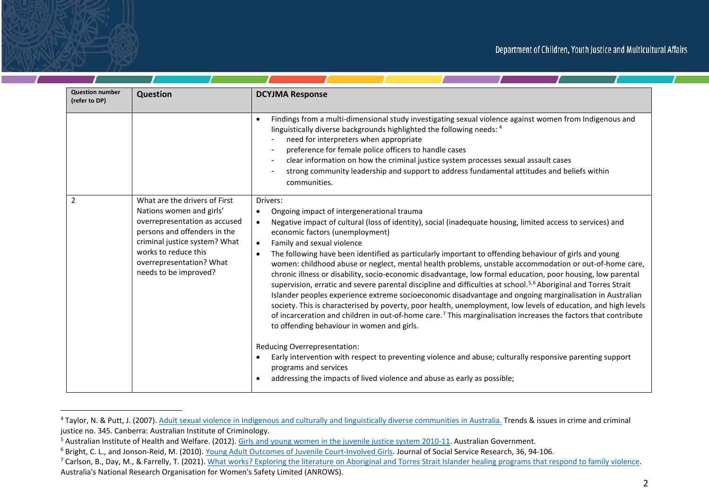| <b>Question number</b><br>(refer to DP) | <b>Question</b>                                                                                                                                                                                                                          | <b>DCYJMA Response</b>                                                                                                                                                                                                                                                                                                                                                                                                                                                                                                                                                                                                                                                                                                                                                                                                                                                                                                                                                                                                                                                                                                                                                                                                                                                                                                                                                                                                                              |
|-----------------------------------------|------------------------------------------------------------------------------------------------------------------------------------------------------------------------------------------------------------------------------------------|-----------------------------------------------------------------------------------------------------------------------------------------------------------------------------------------------------------------------------------------------------------------------------------------------------------------------------------------------------------------------------------------------------------------------------------------------------------------------------------------------------------------------------------------------------------------------------------------------------------------------------------------------------------------------------------------------------------------------------------------------------------------------------------------------------------------------------------------------------------------------------------------------------------------------------------------------------------------------------------------------------------------------------------------------------------------------------------------------------------------------------------------------------------------------------------------------------------------------------------------------------------------------------------------------------------------------------------------------------------------------------------------------------------------------------------------------------|
|                                         |                                                                                                                                                                                                                                          | Findings from a multi-dimensional study investigating sexual violence against women from Indigenous and<br>$\bullet$<br>linguistically diverse backgrounds highlighted the following needs: 4<br>need for interpreters when appropriate<br>preference for female police officers to handle cases<br>clear information on how the criminal justice system processes sexual assault cases<br>strong community leadership and support to address fundamental attitudes and beliefs within<br>communities.                                                                                                                                                                                                                                                                                                                                                                                                                                                                                                                                                                                                                                                                                                                                                                                                                                                                                                                                              |
| 2                                       | What are the drivers of First<br>Nations women and girls'<br>overrepresentation as accused<br>persons and offenders in the<br>criminal justice system? What<br>works to reduce this<br>overrepresentation? What<br>needs to be improved? | Drivers:<br>Ongoing impact of intergenerational trauma<br>$\bullet$<br>Negative impact of cultural (loss of identity), social (inadequate housing, limited access to services) and<br>$\bullet$<br>economic factors (unemployment)<br>Family and sexual violence<br>$\bullet$<br>The following have been identified as particularly important to offending behaviour of girls and young<br>$\bullet$<br>women: childhood abuse or neglect, mental health problems, unstable accommodation or out-of-home care,<br>chronic illness or disability, socio-economic disadvantage, low formal education, poor housing, low parental<br>supervision, erratic and severe parental discipline and difficulties at school. <sup>5,6</sup> Aboriginal and Torres Strait<br>Islander peoples experience extreme socioeconomic disadvantage and ongoing marginalisation in Australian<br>society. This is characterised by poverty, poor health, unemployment, low levels of education, and high levels<br>of incarceration and children in out-of-home care. <sup>7</sup> This marginalisation increases the factors that contribute<br>to offending behaviour in women and girls.<br>Reducing Overrepresentation:<br>Early intervention with respect to preventing violence and abuse; culturally responsive parenting support<br>$\bullet$<br>programs and services<br>addressing the impacts of lived violence and abuse as early as possible;<br>$\bullet$ |

<sup>&</sup>lt;sup>4</sup> Taylor, N. & Putt, J. (2007). Adult sexual violence in Indigenous and culturally and linguistically diverse communities in Australia. Trends & issues in crime and criminal justice no. 345. Canberra: Australian Institute of Criminology.

<sup>&</sup>lt;sup>5</sup> Australian Institute of Health and Welfare. (2012). Girls and young women in the juvenile justice system 2010-11. Australian Government.<br><sup>6</sup> Bright, C. L., and Jonson-Reid, M. (2010). <u>Young Adult Outcomes of Juvenile </u> Australia's National Research Organisation for Women's Safety Limited (ANROWS).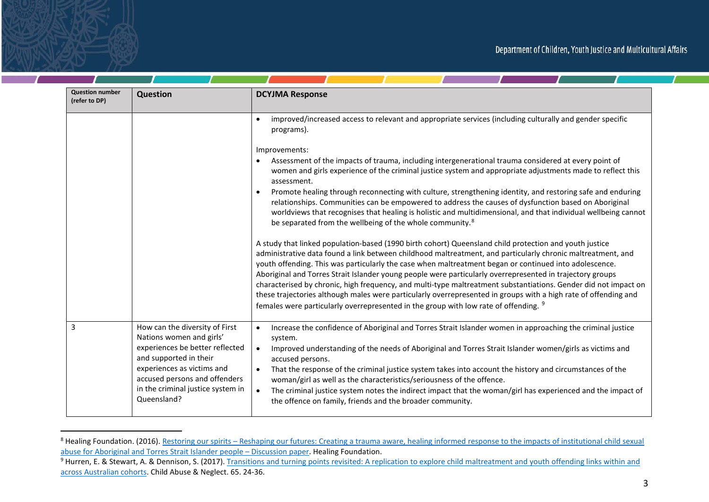| <b>Question number</b><br>(refer to DP) | <b>Question</b>                                                                                                         | <b>DCYJMA Response</b>                                                                                                                                                                                                                                                                                                                                                                                                                                                                                                                                          |
|-----------------------------------------|-------------------------------------------------------------------------------------------------------------------------|-----------------------------------------------------------------------------------------------------------------------------------------------------------------------------------------------------------------------------------------------------------------------------------------------------------------------------------------------------------------------------------------------------------------------------------------------------------------------------------------------------------------------------------------------------------------|
|                                         |                                                                                                                         | improved/increased access to relevant and appropriate services (including culturally and gender specific<br>programs).                                                                                                                                                                                                                                                                                                                                                                                                                                          |
|                                         |                                                                                                                         | Improvements:<br>Assessment of the impacts of trauma, including intergenerational trauma considered at every point of                                                                                                                                                                                                                                                                                                                                                                                                                                           |
|                                         |                                                                                                                         | women and girls experience of the criminal justice system and appropriate adjustments made to reflect this<br>assessment.                                                                                                                                                                                                                                                                                                                                                                                                                                       |
|                                         |                                                                                                                         | Promote healing through reconnecting with culture, strengthening identity, and restoring safe and enduring<br>$\bullet$<br>relationships. Communities can be empowered to address the causes of dysfunction based on Aboriginal<br>worldviews that recognises that healing is holistic and multidimensional, and that individual wellbeing cannot<br>be separated from the wellbeing of the whole community. <sup>8</sup>                                                                                                                                       |
|                                         |                                                                                                                         | A study that linked population-based (1990 birth cohort) Queensland child protection and youth justice<br>administrative data found a link between childhood maltreatment, and particularly chronic maltreatment, and<br>youth offending. This was particularly the case when maltreatment began or continued into adolescence.<br>Aboriginal and Torres Strait Islander young people were particularly overrepresented in trajectory groups<br>characterised by chronic, high frequency, and multi-type maltreatment substantiations. Gender did not impact on |
|                                         |                                                                                                                         | these trajectories although males were particularly overrepresented in groups with a high rate of offending and<br>females were particularly overrepresented in the group with low rate of offending. <sup>9</sup>                                                                                                                                                                                                                                                                                                                                              |
| 3                                       | How can the diversity of First<br>Nations women and girls'<br>experiences be better reflected<br>and supported in their | Increase the confidence of Aboriginal and Torres Strait Islander women in approaching the criminal justice<br>$\bullet$<br>system.<br>Improved understanding of the needs of Aboriginal and Torres Strait Islander women/girls as victims and<br>$\bullet$<br>accused persons.                                                                                                                                                                                                                                                                                  |
|                                         | experiences as victims and<br>accused persons and offenders<br>in the criminal justice system in<br>Queensland?         | That the response of the criminal justice system takes into account the history and circumstances of the<br>$\bullet$<br>woman/girl as well as the characteristics/seriousness of the offence.<br>The criminal justice system notes the indirect impact that the woman/girl has experienced and the impact of<br>$\bullet$<br>the offence on family, friends and the broader community.                                                                                                                                                                         |

<sup>&</sup>lt;sup>8</sup> Healing Foundation. (2016). Restoring our spirits – Reshaping our futures: Creating a trauma aware, healing informed response to the impacts of institutional child sexual abuse for Aboriginal and Torres Strait Islander people – Discussion paper. Healing Foundation.

<sup>&</sup>lt;sup>9</sup> Hurren, E. & Stewart, A. & Dennison, S. (2017). Transitions and turning points revisited: A replication to explore child maltreatment and youth offending links within and across Australian cohorts. Child Abuse & Neglect. 65. 24-36.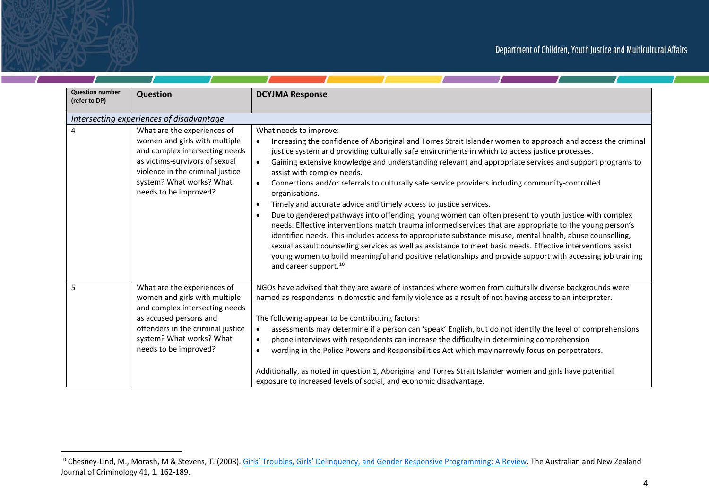$\mathcal{L}$  and  $\mathcal{L}$ 

| <b>Question number</b><br>(refer to DP) | <b>Question</b>                                                                                                                                                                                                           | <b>DCYJMA Response</b>                                                                                                                                                                                                                                                                                                                                                                                                                                                                                                                                                                                                                                                                                                                                                                                                                                                                                                                                                                                                                                                                                                                                                                                                                 |
|-----------------------------------------|---------------------------------------------------------------------------------------------------------------------------------------------------------------------------------------------------------------------------|----------------------------------------------------------------------------------------------------------------------------------------------------------------------------------------------------------------------------------------------------------------------------------------------------------------------------------------------------------------------------------------------------------------------------------------------------------------------------------------------------------------------------------------------------------------------------------------------------------------------------------------------------------------------------------------------------------------------------------------------------------------------------------------------------------------------------------------------------------------------------------------------------------------------------------------------------------------------------------------------------------------------------------------------------------------------------------------------------------------------------------------------------------------------------------------------------------------------------------------|
|                                         | Intersecting experiences of disadvantage                                                                                                                                                                                  |                                                                                                                                                                                                                                                                                                                                                                                                                                                                                                                                                                                                                                                                                                                                                                                                                                                                                                                                                                                                                                                                                                                                                                                                                                        |
| 4                                       | What are the experiences of<br>women and girls with multiple<br>and complex intersecting needs<br>as victims-survivors of sexual<br>violence in the criminal justice<br>system? What works? What<br>needs to be improved? | What needs to improve:<br>Increasing the confidence of Aboriginal and Torres Strait Islander women to approach and access the criminal<br>justice system and providing culturally safe environments in which to access justice processes.<br>Gaining extensive knowledge and understanding relevant and appropriate services and support programs to<br>$\bullet$<br>assist with complex needs.<br>Connections and/or referrals to culturally safe service providers including community-controlled<br>$\bullet$<br>organisations.<br>Timely and accurate advice and timely access to justice services.<br>$\bullet$<br>Due to gendered pathways into offending, young women can often present to youth justice with complex<br>$\bullet$<br>needs. Effective interventions match trauma informed services that are appropriate to the young person's<br>identified needs. This includes access to appropriate substance misuse, mental health, abuse counselling,<br>sexual assault counselling services as well as assistance to meet basic needs. Effective interventions assist<br>young women to build meaningful and positive relationships and provide support with accessing job training<br>and career support. <sup>10</sup> |
| 5                                       | What are the experiences of<br>women and girls with multiple<br>and complex intersecting needs<br>as accused persons and<br>offenders in the criminal justice<br>system? What works? What<br>needs to be improved?        | NGOs have advised that they are aware of instances where women from culturally diverse backgrounds were<br>named as respondents in domestic and family violence as a result of not having access to an interpreter.<br>The following appear to be contributing factors:<br>assessments may determine if a person can 'speak' English, but do not identify the level of comprehensions<br>$\bullet$<br>phone interviews with respondents can increase the difficulty in determining comprehension<br>$\bullet$<br>wording in the Police Powers and Responsibilities Act which may narrowly focus on perpetrators.<br>$\bullet$<br>Additionally, as noted in question 1, Aboriginal and Torres Strait Islander women and girls have potential<br>exposure to increased levels of social, and economic disadvantage.                                                                                                                                                                                                                                                                                                                                                                                                                      |

<sup>&</sup>lt;sup>10</sup> Chesney-Lind, M., Morash, M & Stevens, T. (2008). Girls' Troubles, Girls' Delinquency, and Gender Responsive Programming: A Review. The Australian and New Zealand Journal of Criminology 41, 1. 162-189.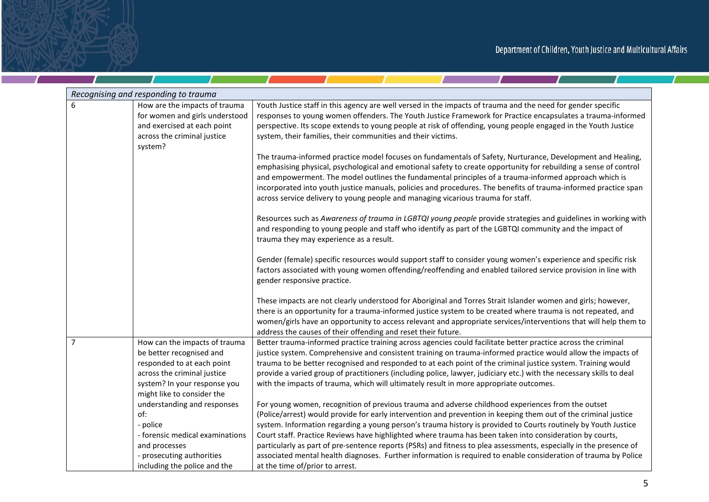**Contract Contract Contract** 

 $\mathcal{L}$  and  $\mathcal{L}$ 

|                | Recognising and responding to trauma                       |                                                                                                                                                                                                                                                                                                                                              |  |
|----------------|------------------------------------------------------------|----------------------------------------------------------------------------------------------------------------------------------------------------------------------------------------------------------------------------------------------------------------------------------------------------------------------------------------------|--|
| 6              | How are the impacts of trauma                              | Youth Justice staff in this agency are well versed in the impacts of trauma and the need for gender specific                                                                                                                                                                                                                                 |  |
|                | for women and girls understood                             | responses to young women offenders. The Youth Justice Framework for Practice encapsulates a trauma-informed                                                                                                                                                                                                                                  |  |
|                | and exercised at each point                                | perspective. Its scope extends to young people at risk of offending, young people engaged in the Youth Justice                                                                                                                                                                                                                               |  |
|                | across the criminal justice<br>system?                     | system, their families, their communities and their victims.                                                                                                                                                                                                                                                                                 |  |
|                |                                                            | The trauma-informed practice model focuses on fundamentals of Safety, Nurturance, Development and Healing,                                                                                                                                                                                                                                   |  |
|                |                                                            | emphasising physical, psychological and emotional safety to create opportunity for rebuilding a sense of control<br>and empowerment. The model outlines the fundamental principles of a trauma-informed approach which is<br>incorporated into youth justice manuals, policies and procedures. The benefits of trauma-informed practice span |  |
|                |                                                            | across service delivery to young people and managing vicarious trauma for staff.                                                                                                                                                                                                                                                             |  |
|                |                                                            | Resources such as Awareness of trauma in LGBTQI young people provide strategies and guidelines in working with<br>and responding to young people and staff who identify as part of the LGBTQI community and the impact of<br>trauma they may experience as a result.                                                                         |  |
|                |                                                            | Gender (female) specific resources would support staff to consider young women's experience and specific risk<br>factors associated with young women offending/reoffending and enabled tailored service provision in line with<br>gender responsive practice.                                                                                |  |
|                |                                                            | These impacts are not clearly understood for Aboriginal and Torres Strait Islander women and girls; however,                                                                                                                                                                                                                                 |  |
|                |                                                            | there is an opportunity for a trauma-informed justice system to be created where trauma is not repeated, and                                                                                                                                                                                                                                 |  |
|                |                                                            | women/girls have an opportunity to access relevant and appropriate services/interventions that will help them to<br>address the causes of their offending and reset their future.                                                                                                                                                            |  |
| $\overline{7}$ | How can the impacts of trauma                              | Better trauma-informed practice training across agencies could facilitate better practice across the criminal                                                                                                                                                                                                                                |  |
|                | be better recognised and                                   | justice system. Comprehensive and consistent training on trauma-informed practice would allow the impacts of                                                                                                                                                                                                                                 |  |
|                | responded to at each point                                 | trauma to be better recognised and responded to at each point of the criminal justice system. Training would                                                                                                                                                                                                                                 |  |
|                | across the criminal justice                                | provide a varied group of practitioners (including police, lawyer, judiciary etc.) with the necessary skills to deal                                                                                                                                                                                                                         |  |
|                | system? In your response you<br>might like to consider the | with the impacts of trauma, which will ultimately result in more appropriate outcomes.                                                                                                                                                                                                                                                       |  |
|                | understanding and responses                                | For young women, recognition of previous trauma and adverse childhood experiences from the outset                                                                                                                                                                                                                                            |  |
|                | of:                                                        | (Police/arrest) would provide for early intervention and prevention in keeping them out of the criminal justice                                                                                                                                                                                                                              |  |
|                | - police                                                   | system. Information regarding a young person's trauma history is provided to Courts routinely by Youth Justice                                                                                                                                                                                                                               |  |
|                | - forensic medical examinations                            | Court staff. Practice Reviews have highlighted where trauma has been taken into consideration by courts,                                                                                                                                                                                                                                     |  |
|                | and processes                                              | particularly as part of pre-sentence reports (PSRs) and fitness to plea assessments, especially in the presence of                                                                                                                                                                                                                           |  |
|                | - prosecuting authorities                                  | associated mental health diagnoses. Further information is required to enable consideration of trauma by Police                                                                                                                                                                                                                              |  |
|                | including the police and the                               | at the time of/prior to arrest.                                                                                                                                                                                                                                                                                                              |  |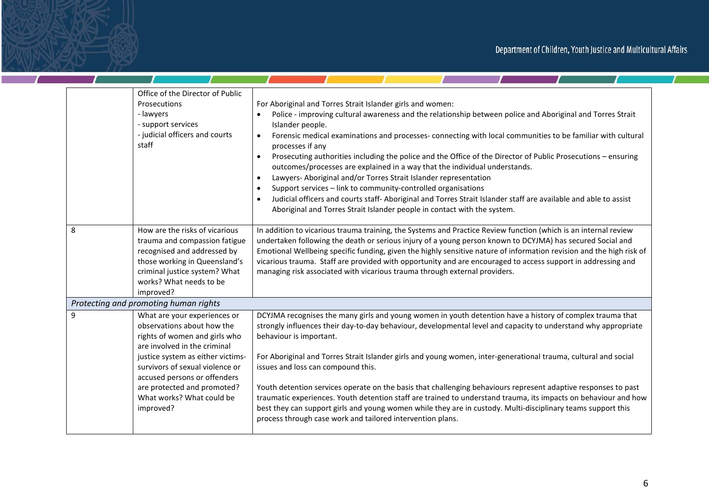**Contract Contract Contract** 

<u>and the state of the state of the state of the state of the state of the state of the state of the state of the state of the state of the state of the state of the state of the state of the state of the state of the state</u>

|   | Office of the Director of Public<br>Prosecutions<br>- lawyers<br>- support services<br>- judicial officers and courts<br>staff                                                                                                                                                                               | For Aboriginal and Torres Strait Islander girls and women:<br>Police - improving cultural awareness and the relationship between police and Aboriginal and Torres Strait<br>Islander people.<br>Forensic medical examinations and processes- connecting with local communities to be familiar with cultural<br>$\bullet$<br>processes if any<br>Prosecuting authorities including the police and the Office of the Director of Public Prosecutions - ensuring<br>$\bullet$<br>outcomes/processes are explained in a way that the individual understands.<br>Lawyers- Aboriginal and/or Torres Strait Islander representation<br>$\bullet$<br>Support services - link to community-controlled organisations<br>$\bullet$<br>Judicial officers and courts staff-Aboriginal and Torres Strait Islander staff are available and able to assist<br>$\bullet$<br>Aboriginal and Torres Strait Islander people in contact with the system. |
|---|--------------------------------------------------------------------------------------------------------------------------------------------------------------------------------------------------------------------------------------------------------------------------------------------------------------|-------------------------------------------------------------------------------------------------------------------------------------------------------------------------------------------------------------------------------------------------------------------------------------------------------------------------------------------------------------------------------------------------------------------------------------------------------------------------------------------------------------------------------------------------------------------------------------------------------------------------------------------------------------------------------------------------------------------------------------------------------------------------------------------------------------------------------------------------------------------------------------------------------------------------------------|
| 8 | How are the risks of vicarious<br>trauma and compassion fatigue<br>recognised and addressed by<br>those working in Queensland's<br>criminal justice system? What<br>works? What needs to be<br>improved?                                                                                                     | In addition to vicarious trauma training, the Systems and Practice Review function (which is an internal review<br>undertaken following the death or serious injury of a young person known to DCYJMA) has secured Social and<br>Emotional Wellbeing specific funding, given the highly sensitive nature of information revision and the high risk of<br>vicarious trauma. Staff are provided with opportunity and are encouraged to access support in addressing and<br>managing risk associated with vicarious trauma through external providers.                                                                                                                                                                                                                                                                                                                                                                                 |
|   | Protecting and promoting human rights                                                                                                                                                                                                                                                                        |                                                                                                                                                                                                                                                                                                                                                                                                                                                                                                                                                                                                                                                                                                                                                                                                                                                                                                                                     |
| 9 | What are your experiences or<br>observations about how the<br>rights of women and girls who<br>are involved in the criminal<br>justice system as either victims-<br>survivors of sexual violence or<br>accused persons or offenders<br>are protected and promoted?<br>What works? What could be<br>improved? | DCYJMA recognises the many girls and young women in youth detention have a history of complex trauma that<br>strongly influences their day-to-day behaviour, developmental level and capacity to understand why appropriate<br>behaviour is important.<br>For Aboriginal and Torres Strait Islander girls and young women, inter-generational trauma, cultural and social<br>issues and loss can compound this.<br>Youth detention services operate on the basis that challenging behaviours represent adaptive responses to past<br>traumatic experiences. Youth detention staff are trained to understand trauma, its impacts on behaviour and how<br>best they can support girls and young women while they are in custody. Multi-disciplinary teams support this<br>process through case work and tailored intervention plans.                                                                                                  |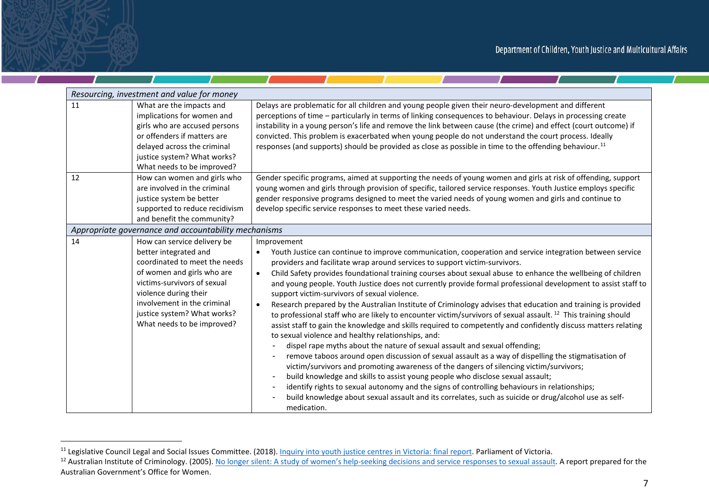|    | Resourcing, investment and value for money                                                                                                                                                                                                                              |                                                                                                                                                                                                                                                                                                                                                                                                                                                                                                                                                                                                                                                                                                                                                                                                                                                                                                                                                                                                                                                                                                                                                                                                                                                                                                                                                                                                                                                                                                                                                                                                                  |  |  |
|----|-------------------------------------------------------------------------------------------------------------------------------------------------------------------------------------------------------------------------------------------------------------------------|------------------------------------------------------------------------------------------------------------------------------------------------------------------------------------------------------------------------------------------------------------------------------------------------------------------------------------------------------------------------------------------------------------------------------------------------------------------------------------------------------------------------------------------------------------------------------------------------------------------------------------------------------------------------------------------------------------------------------------------------------------------------------------------------------------------------------------------------------------------------------------------------------------------------------------------------------------------------------------------------------------------------------------------------------------------------------------------------------------------------------------------------------------------------------------------------------------------------------------------------------------------------------------------------------------------------------------------------------------------------------------------------------------------------------------------------------------------------------------------------------------------------------------------------------------------------------------------------------------------|--|--|
| 11 | What are the impacts and<br>implications for women and<br>girls who are accused persons<br>or offenders if matters are<br>delayed across the criminal<br>justice system? What works?<br>What needs to be improved?                                                      | Delays are problematic for all children and young people given their neuro-development and different<br>perceptions of time - particularly in terms of linking consequences to behaviour. Delays in processing create<br>instability in a young person's life and remove the link between cause (the crime) and effect (court outcome) if<br>convicted. This problem is exacerbated when young people do not understand the court process. Ideally<br>responses (and supports) should be provided as close as possible in time to the offending behaviour. <sup>11</sup>                                                                                                                                                                                                                                                                                                                                                                                                                                                                                                                                                                                                                                                                                                                                                                                                                                                                                                                                                                                                                                         |  |  |
| 12 | How can women and girls who<br>are involved in the criminal<br>justice system be better<br>supported to reduce recidivism<br>and benefit the community?                                                                                                                 | Gender specific programs, aimed at supporting the needs of young women and girls at risk of offending, support<br>young women and girls through provision of specific, tailored service responses. Youth Justice employs specific<br>gender responsive programs designed to meet the varied needs of young women and girls and continue to<br>develop specific service responses to meet these varied needs.                                                                                                                                                                                                                                                                                                                                                                                                                                                                                                                                                                                                                                                                                                                                                                                                                                                                                                                                                                                                                                                                                                                                                                                                     |  |  |
|    | Appropriate governance and accountability mechanisms                                                                                                                                                                                                                    |                                                                                                                                                                                                                                                                                                                                                                                                                                                                                                                                                                                                                                                                                                                                                                                                                                                                                                                                                                                                                                                                                                                                                                                                                                                                                                                                                                                                                                                                                                                                                                                                                  |  |  |
| 14 | How can service delivery be<br>better integrated and<br>coordinated to meet the needs<br>of women and girls who are<br>victims-survivors of sexual<br>violence during their<br>involvement in the criminal<br>justice system? What works?<br>What needs to be improved? | Improvement<br>Youth Justice can continue to improve communication, cooperation and service integration between service<br>providers and facilitate wrap around services to support victim-survivors.<br>Child Safety provides foundational training courses about sexual abuse to enhance the wellbeing of children<br>$\bullet$<br>and young people. Youth Justice does not currently provide formal professional development to assist staff to<br>support victim-survivors of sexual violence.<br>Research prepared by the Australian Institute of Criminology advises that education and training is provided<br>$\bullet$<br>to professional staff who are likely to encounter victim/survivors of sexual assault. <sup>12</sup> This training should<br>assist staff to gain the knowledge and skills required to competently and confidently discuss matters relating<br>to sexual violence and healthy relationships, and:<br>dispel rape myths about the nature of sexual assault and sexual offending;<br>remove taboos around open discussion of sexual assault as a way of dispelling the stigmatisation of<br>$\overline{\phantom{0}}$<br>victim/survivors and promoting awareness of the dangers of silencing victim/survivors;<br>build knowledge and skills to assist young people who disclose sexual assault;<br>$\overline{\phantom{0}}$<br>identify rights to sexual autonomy and the signs of controlling behaviours in relationships;<br>$\overline{\phantom{a}}$<br>build knowledge about sexual assault and its correlates, such as suicide or drug/alcohol use as self-<br>medication. |  |  |

<sup>&</sup>lt;sup>11</sup> Legislative Council Legal and Social Issues Committee. (2018). <u>Inquiry into youth justice centres in Victoria: final report</u>. Parliament of Victoria.

<sup>&</sup>lt;sup>12</sup> Australian Institute of Criminology. (2005). No longer silent: A study of women's help-seeking decisions and service responses to sexual assault. A report prepared for the Australian Government's Office for Women.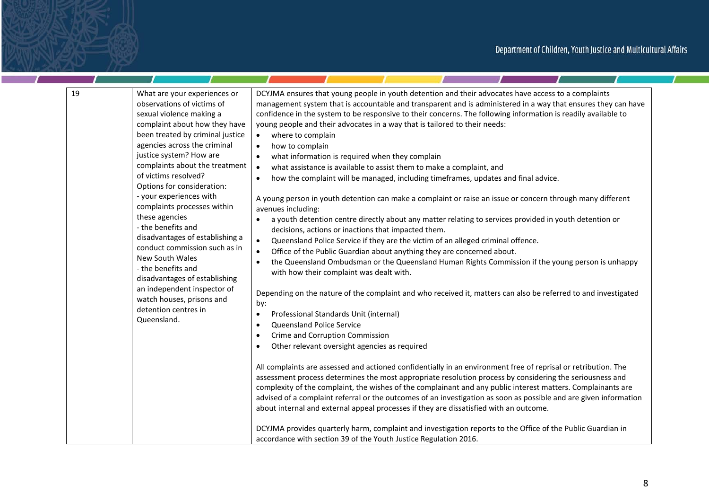| 19<br>What are your experiences or<br>observations of victims of<br>sexual violence making a<br>complaint about how they have<br>been treated by criminal justice<br>agencies across the criminal<br>justice system? How are<br>complaints about the treatment<br>of victims resolved?<br>Options for consideration:<br>- your experiences with<br>complaints processes within<br>these agencies<br>- the benefits and<br>disadvantages of establishing a<br>conduct commission such as in<br>New South Wales<br>- the benefits and<br>disadvantages of establishing<br>an independent inspector of<br>watch houses, prisons and<br>detention centres in<br>Queensland. | DCYJMA ensures that young people in youth detention and their advocates have access to a complaints<br>management system that is accountable and transparent and is administered in a way that ensures they can have<br>confidence in the system to be responsive to their concerns. The following information is readily available to<br>young people and their advocates in a way that is tailored to their needs:<br>where to complain<br>$\bullet$<br>how to complain<br>$\bullet$<br>what information is required when they complain<br>$\bullet$<br>what assistance is available to assist them to make a complaint, and<br>$\bullet$<br>how the complaint will be managed, including timeframes, updates and final advice.<br>$\bullet$<br>A young person in youth detention can make a complaint or raise an issue or concern through many different<br>avenues including:<br>a youth detention centre directly about any matter relating to services provided in youth detention or<br>decisions, actions or inactions that impacted them.<br>Queensland Police Service if they are the victim of an alleged criminal offence.<br>$\bullet$<br>Office of the Public Guardian about anything they are concerned about.<br>$\bullet$<br>the Queensland Ombudsman or the Queensland Human Rights Commission if the young person is unhappy<br>$\bullet$<br>with how their complaint was dealt with.<br>Depending on the nature of the complaint and who received it, matters can also be referred to and investigated<br>by:<br>Professional Standards Unit (internal)<br>$\bullet$<br>Queensland Police Service<br>$\bullet$<br>Crime and Corruption Commission<br>$\bullet$<br>Other relevant oversight agencies as required<br>$\bullet$<br>All complaints are assessed and actioned confidentially in an environment free of reprisal or retribution. The<br>assessment process determines the most appropriate resolution process by considering the seriousness and<br>complexity of the complaint, the wishes of the complainant and any public interest matters. Complainants are<br>advised of a complaint referral or the outcomes of an investigation as soon as possible and are given information<br>about internal and external appeal processes if they are dissatisfied with an outcome. |
|-------------------------------------------------------------------------------------------------------------------------------------------------------------------------------------------------------------------------------------------------------------------------------------------------------------------------------------------------------------------------------------------------------------------------------------------------------------------------------------------------------------------------------------------------------------------------------------------------------------------------------------------------------------------------|----------------------------------------------------------------------------------------------------------------------------------------------------------------------------------------------------------------------------------------------------------------------------------------------------------------------------------------------------------------------------------------------------------------------------------------------------------------------------------------------------------------------------------------------------------------------------------------------------------------------------------------------------------------------------------------------------------------------------------------------------------------------------------------------------------------------------------------------------------------------------------------------------------------------------------------------------------------------------------------------------------------------------------------------------------------------------------------------------------------------------------------------------------------------------------------------------------------------------------------------------------------------------------------------------------------------------------------------------------------------------------------------------------------------------------------------------------------------------------------------------------------------------------------------------------------------------------------------------------------------------------------------------------------------------------------------------------------------------------------------------------------------------------------------------------------------------------------------------------------------------------------------------------------------------------------------------------------------------------------------------------------------------------------------------------------------------------------------------------------------------------------------------------------------------------------------------------------------------------------------------------------------------------------------------------------|
|                                                                                                                                                                                                                                                                                                                                                                                                                                                                                                                                                                                                                                                                         | DCYJMA provides quarterly harm, complaint and investigation reports to the Office of the Public Guardian in                                                                                                                                                                                                                                                                                                                                                                                                                                                                                                                                                                                                                                                                                                                                                                                                                                                                                                                                                                                                                                                                                                                                                                                                                                                                                                                                                                                                                                                                                                                                                                                                                                                                                                                                                                                                                                                                                                                                                                                                                                                                                                                                                                                                    |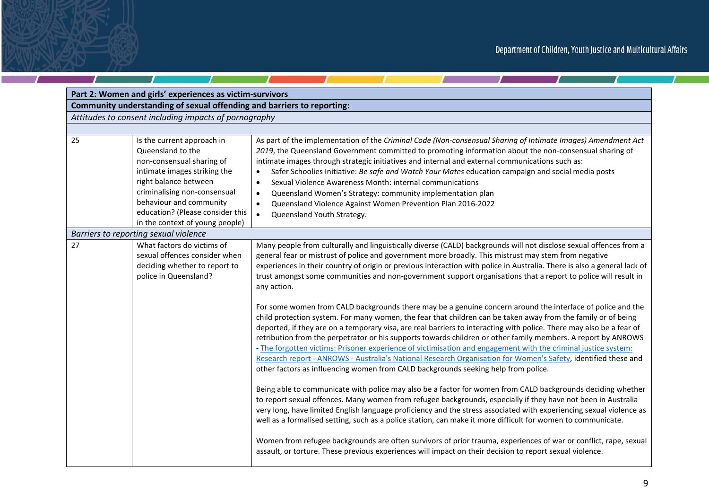$\mathcal{L}$  and  $\mathcal{L}$  and  $\mathcal{L}$ 

| Part 2: Women and girls' experiences as victim-survivors |                                                                                                                                                                                                                                                                         |                                                                                                                                                                                                                                                                                                                                                                                                                                                                                                                                                                                                                                                                                                                                                                                                                                                                                                                                                                                                                                                                                                                                                                                                                                                                                                                                                                                                                                                                                                       |  |
|----------------------------------------------------------|-------------------------------------------------------------------------------------------------------------------------------------------------------------------------------------------------------------------------------------------------------------------------|-------------------------------------------------------------------------------------------------------------------------------------------------------------------------------------------------------------------------------------------------------------------------------------------------------------------------------------------------------------------------------------------------------------------------------------------------------------------------------------------------------------------------------------------------------------------------------------------------------------------------------------------------------------------------------------------------------------------------------------------------------------------------------------------------------------------------------------------------------------------------------------------------------------------------------------------------------------------------------------------------------------------------------------------------------------------------------------------------------------------------------------------------------------------------------------------------------------------------------------------------------------------------------------------------------------------------------------------------------------------------------------------------------------------------------------------------------------------------------------------------------|--|
|                                                          | Community understanding of sexual offending and barriers to reporting:                                                                                                                                                                                                  |                                                                                                                                                                                                                                                                                                                                                                                                                                                                                                                                                                                                                                                                                                                                                                                                                                                                                                                                                                                                                                                                                                                                                                                                                                                                                                                                                                                                                                                                                                       |  |
|                                                          | Attitudes to consent including impacts of pornography                                                                                                                                                                                                                   |                                                                                                                                                                                                                                                                                                                                                                                                                                                                                                                                                                                                                                                                                                                                                                                                                                                                                                                                                                                                                                                                                                                                                                                                                                                                                                                                                                                                                                                                                                       |  |
|                                                          |                                                                                                                                                                                                                                                                         |                                                                                                                                                                                                                                                                                                                                                                                                                                                                                                                                                                                                                                                                                                                                                                                                                                                                                                                                                                                                                                                                                                                                                                                                                                                                                                                                                                                                                                                                                                       |  |
| 25                                                       | Is the current approach in<br>Queensland to the<br>non-consensual sharing of<br>intimate images striking the<br>right balance between<br>criminalising non-consensual<br>behaviour and community<br>education? (Please consider this<br>in the context of young people) | As part of the implementation of the Criminal Code (Non-consensual Sharing of Intimate Images) Amendment Act<br>2019, the Queensland Government committed to promoting information about the non-consensual sharing of<br>intimate images through strategic initiatives and internal and external communications such as:<br>Safer Schoolies Initiative: Be safe and Watch Your Mates education campaign and social media posts<br>$\bullet$<br>Sexual Violence Awareness Month: internal communications<br>$\bullet$<br>Queensland Women's Strategy: community implementation plan<br>$\bullet$<br>Queensland Violence Against Women Prevention Plan 2016-2022<br>$\bullet$<br>Queensland Youth Strategy.<br>$\bullet$                                                                                                                                                                                                                                                                                                                                                                                                                                                                                                                                                                                                                                                                                                                                                                               |  |
|                                                          | Barriers to reporting sexual violence                                                                                                                                                                                                                                   |                                                                                                                                                                                                                                                                                                                                                                                                                                                                                                                                                                                                                                                                                                                                                                                                                                                                                                                                                                                                                                                                                                                                                                                                                                                                                                                                                                                                                                                                                                       |  |
| 27                                                       | What factors do victims of<br>sexual offences consider when<br>deciding whether to report to<br>police in Queensland?                                                                                                                                                   | Many people from culturally and linguistically diverse (CALD) backgrounds will not disclose sexual offences from a<br>general fear or mistrust of police and government more broadly. This mistrust may stem from negative<br>experiences in their country of origin or previous interaction with police in Australia. There is also a general lack of<br>trust amongst some communities and non-government support organisations that a report to police will result in<br>any action.                                                                                                                                                                                                                                                                                                                                                                                                                                                                                                                                                                                                                                                                                                                                                                                                                                                                                                                                                                                                               |  |
|                                                          |                                                                                                                                                                                                                                                                         | For some women from CALD backgrounds there may be a genuine concern around the interface of police and the<br>child protection system. For many women, the fear that children can be taken away from the family or of being<br>deported, if they are on a temporary visa, are real barriers to interacting with police. There may also be a fear of<br>retribution from the perpetrator or his supports towards children or other family members. A report by ANROWS<br>- The forgotten victims: Prisoner experience of victimisation and engagement with the criminal justice system:<br>Research report - ANROWS - Australia's National Research Organisation for Women's Safety, identified these and<br>other factors as influencing women from CALD backgrounds seeking help from police.<br>Being able to communicate with police may also be a factor for women from CALD backgrounds deciding whether<br>to report sexual offences. Many women from refugee backgrounds, especially if they have not been in Australia<br>very long, have limited English language proficiency and the stress associated with experiencing sexual violence as<br>well as a formalised setting, such as a police station, can make it more difficult for women to communicate.<br>Women from refugee backgrounds are often survivors of prior trauma, experiences of war or conflict, rape, sexual<br>assault, or torture. These previous experiences will impact on their decision to report sexual violence. |  |

 $\mathbf{r}$ 

۰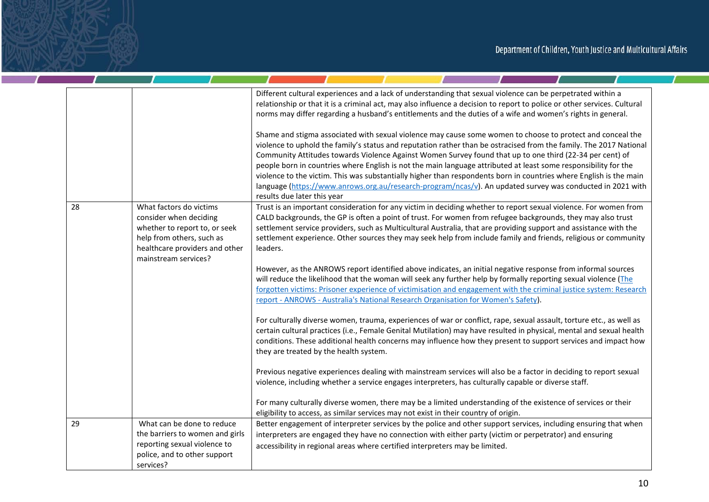<u>and the state of the state of the state of the state of the state of the state of the state of the state of the state of the state of the state of the state of the state of the state of the state of the state of the state</u>

|    |                                                                                                                                                                           | Different cultural experiences and a lack of understanding that sexual violence can be perpetrated within a<br>relationship or that it is a criminal act, may also influence a decision to report to police or other services. Cultural<br>norms may differ regarding a husband's entitlements and the duties of a wife and women's rights in general.                                                                                                                                                                                                                                                                                                                                                                             |
|----|---------------------------------------------------------------------------------------------------------------------------------------------------------------------------|------------------------------------------------------------------------------------------------------------------------------------------------------------------------------------------------------------------------------------------------------------------------------------------------------------------------------------------------------------------------------------------------------------------------------------------------------------------------------------------------------------------------------------------------------------------------------------------------------------------------------------------------------------------------------------------------------------------------------------|
|    |                                                                                                                                                                           | Shame and stigma associated with sexual violence may cause some women to choose to protect and conceal the<br>violence to uphold the family's status and reputation rather than be ostracised from the family. The 2017 National<br>Community Attitudes towards Violence Against Women Survey found that up to one third (22-34 per cent) of<br>people born in countries where English is not the main language attributed at least some responsibility for the<br>violence to the victim. This was substantially higher than respondents born in countries where English is the main<br>language (https://www.anrows.org.au/research-program/ncas/v). An updated survey was conducted in 2021 with<br>results due later this year |
| 28 | What factors do victims<br>consider when deciding<br>whether to report to, or seek<br>help from others, such as<br>healthcare providers and other<br>mainstream services? | Trust is an important consideration for any victim in deciding whether to report sexual violence. For women from<br>CALD backgrounds, the GP is often a point of trust. For women from refugee backgrounds, they may also trust<br>settlement service providers, such as Multicultural Australia, that are providing support and assistance with the<br>settlement experience. Other sources they may seek help from include family and friends, religious or community<br>leaders.                                                                                                                                                                                                                                                |
|    |                                                                                                                                                                           | However, as the ANROWS report identified above indicates, an initial negative response from informal sources<br>will reduce the likelihood that the woman will seek any further help by formally reporting sexual violence (The<br>forgotten victims: Prisoner experience of victimisation and engagement with the criminal justice system: Research<br>report - ANROWS - Australia's National Research Organisation for Women's Safety).                                                                                                                                                                                                                                                                                          |
|    |                                                                                                                                                                           | For culturally diverse women, trauma, experiences of war or conflict, rape, sexual assault, torture etc., as well as<br>certain cultural practices (i.e., Female Genital Mutilation) may have resulted in physical, mental and sexual health<br>conditions. These additional health concerns may influence how they present to support services and impact how<br>they are treated by the health system.                                                                                                                                                                                                                                                                                                                           |
|    |                                                                                                                                                                           | Previous negative experiences dealing with mainstream services will also be a factor in deciding to report sexual<br>violence, including whether a service engages interpreters, has culturally capable or diverse staff.                                                                                                                                                                                                                                                                                                                                                                                                                                                                                                          |
|    |                                                                                                                                                                           | For many culturally diverse women, there may be a limited understanding of the existence of services or their<br>eligibility to access, as similar services may not exist in their country of origin.                                                                                                                                                                                                                                                                                                                                                                                                                                                                                                                              |
| 29 | What can be done to reduce<br>the barriers to women and girls<br>reporting sexual violence to<br>police, and to other support<br>services?                                | Better engagement of interpreter services by the police and other support services, including ensuring that when<br>interpreters are engaged they have no connection with either party (victim or perpetrator) and ensuring<br>accessibility in regional areas where certified interpreters may be limited.                                                                                                                                                                                                                                                                                                                                                                                                                        |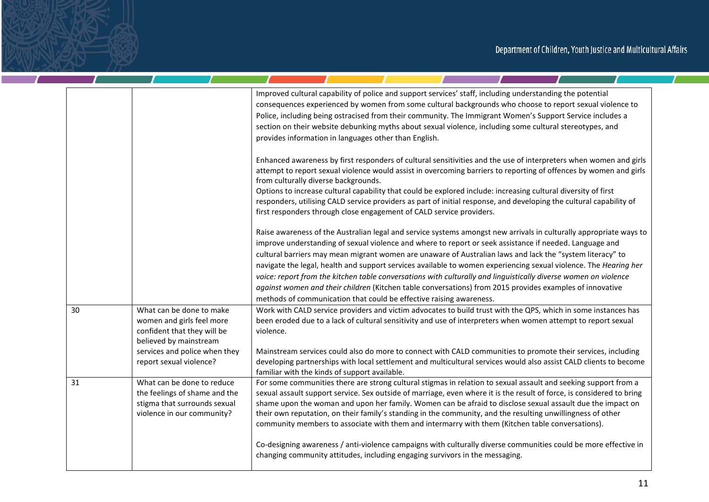**Contract Contract State** 

a p

a sa kacamatan ing Kabupatèn Kabupatèn

|    |                                                                                                                                                                            | Improved cultural capability of police and support services' staff, including understanding the potential<br>consequences experienced by women from some cultural backgrounds who choose to report sexual violence to<br>Police, including being ostracised from their community. The Immigrant Women's Support Service includes a<br>section on their website debunking myths about sexual violence, including some cultural stereotypes, and<br>provides information in languages other than English.                                                                                                                                                                                                                                                                      |
|----|----------------------------------------------------------------------------------------------------------------------------------------------------------------------------|------------------------------------------------------------------------------------------------------------------------------------------------------------------------------------------------------------------------------------------------------------------------------------------------------------------------------------------------------------------------------------------------------------------------------------------------------------------------------------------------------------------------------------------------------------------------------------------------------------------------------------------------------------------------------------------------------------------------------------------------------------------------------|
|    |                                                                                                                                                                            | Enhanced awareness by first responders of cultural sensitivities and the use of interpreters when women and girls<br>attempt to report sexual violence would assist in overcoming barriers to reporting of offences by women and girls<br>from culturally diverse backgrounds.<br>Options to increase cultural capability that could be explored include: increasing cultural diversity of first<br>responders, utilising CALD service providers as part of initial response, and developing the cultural capability of<br>first responders through close engagement of CALD service providers.                                                                                                                                                                              |
|    |                                                                                                                                                                            | Raise awareness of the Australian legal and service systems amongst new arrivals in culturally appropriate ways to<br>improve understanding of sexual violence and where to report or seek assistance if needed. Language and<br>cultural barriers may mean migrant women are unaware of Australian laws and lack the "system literacy" to<br>navigate the legal, health and support services available to women experiencing sexual violence. The Hearing her<br>voice: report from the kitchen table conversations with culturally and linguistically diverse women on violence<br>against women and their children (Kitchen table conversations) from 2015 provides examples of innovative<br>methods of communication that could be effective raising awareness.         |
| 30 | What can be done to make<br>women and girls feel more<br>confident that they will be<br>believed by mainstream<br>services and police when they<br>report sexual violence? | Work with CALD service providers and victim advocates to build trust with the QPS, which in some instances has<br>been eroded due to a lack of cultural sensitivity and use of interpreters when women attempt to report sexual<br>violence.<br>Mainstream services could also do more to connect with CALD communities to promote their services, including<br>developing partnerships with local settlement and multicultural services would also assist CALD clients to become<br>familiar with the kinds of support available.                                                                                                                                                                                                                                           |
| 31 | What can be done to reduce<br>the feelings of shame and the<br>stigma that surrounds sexual<br>violence in our community?                                                  | For some communities there are strong cultural stigmas in relation to sexual assault and seeking support from a<br>sexual assault support service. Sex outside of marriage, even where it is the result of force, is considered to bring<br>shame upon the woman and upon her family. Women can be afraid to disclose sexual assault due the impact on<br>their own reputation, on their family's standing in the community, and the resulting unwillingness of other<br>community members to associate with them and intermarry with them (Kitchen table conversations).<br>Co-designing awareness / anti-violence campaigns with culturally diverse communities could be more effective in<br>changing community attitudes, including engaging survivors in the messaging. |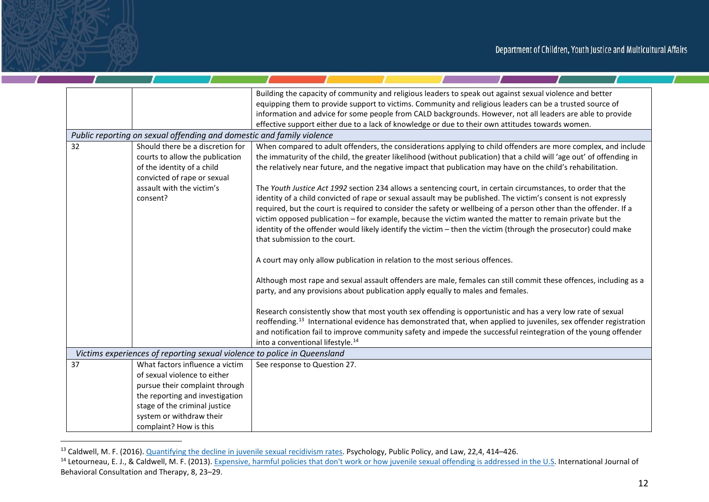|    |                                                                                                                                  | Building the capacity of community and religious leaders to speak out against sexual violence and better<br>equipping them to provide support to victims. Community and religious leaders can be a trusted source of<br>information and advice for some people from CALD backgrounds. However, not all leaders are able to provide<br>effective support either due to a lack of knowledge or due to their own attitudes towards women.                                                                                                                                                                                |
|----|----------------------------------------------------------------------------------------------------------------------------------|-----------------------------------------------------------------------------------------------------------------------------------------------------------------------------------------------------------------------------------------------------------------------------------------------------------------------------------------------------------------------------------------------------------------------------------------------------------------------------------------------------------------------------------------------------------------------------------------------------------------------|
|    | Public reporting on sexual offending and domestic and family violence                                                            |                                                                                                                                                                                                                                                                                                                                                                                                                                                                                                                                                                                                                       |
| 32 | Should there be a discretion for<br>courts to allow the publication<br>of the identity of a child<br>convicted of rape or sexual | When compared to adult offenders, the considerations applying to child offenders are more complex, and include<br>the immaturity of the child, the greater likelihood (without publication) that a child will 'age out' of offending in<br>the relatively near future, and the negative impact that publication may have on the child's rehabilitation.                                                                                                                                                                                                                                                               |
|    | assault with the victim's<br>consent?                                                                                            | The Youth Justice Act 1992 section 234 allows a sentencing court, in certain circumstances, to order that the<br>identity of a child convicted of rape or sexual assault may be published. The victim's consent is not expressly<br>required, but the court is required to consider the safety or wellbeing of a person other than the offender. If a<br>victim opposed publication - for example, because the victim wanted the matter to remain private but the<br>identity of the offender would likely identify the victim - then the victim (through the prosecutor) could make<br>that submission to the court. |
|    |                                                                                                                                  | A court may only allow publication in relation to the most serious offences.                                                                                                                                                                                                                                                                                                                                                                                                                                                                                                                                          |
|    |                                                                                                                                  | Although most rape and sexual assault offenders are male, females can still commit these offences, including as a<br>party, and any provisions about publication apply equally to males and females.                                                                                                                                                                                                                                                                                                                                                                                                                  |
|    |                                                                                                                                  | Research consistently show that most youth sex offending is opportunistic and has a very low rate of sexual<br>reoffending. <sup>13</sup> International evidence has demonstrated that, when applied to juveniles, sex offender registration<br>and notification fail to improve community safety and impede the successful reintegration of the young offender<br>into a conventional lifestyle. <sup>14</sup>                                                                                                                                                                                                       |
|    | Victims experiences of reporting sexual violence to police in Queensland                                                         |                                                                                                                                                                                                                                                                                                                                                                                                                                                                                                                                                                                                                       |
| 37 | What factors influence a victim                                                                                                  | See response to Question 27.                                                                                                                                                                                                                                                                                                                                                                                                                                                                                                                                                                                          |
|    | of sexual violence to either                                                                                                     |                                                                                                                                                                                                                                                                                                                                                                                                                                                                                                                                                                                                                       |
|    | pursue their complaint through                                                                                                   |                                                                                                                                                                                                                                                                                                                                                                                                                                                                                                                                                                                                                       |
|    | the reporting and investigation                                                                                                  |                                                                                                                                                                                                                                                                                                                                                                                                                                                                                                                                                                                                                       |
|    | stage of the criminal justice                                                                                                    |                                                                                                                                                                                                                                                                                                                                                                                                                                                                                                                                                                                                                       |
|    | system or withdraw their                                                                                                         |                                                                                                                                                                                                                                                                                                                                                                                                                                                                                                                                                                                                                       |
|    | complaint? How is this                                                                                                           |                                                                                                                                                                                                                                                                                                                                                                                                                                                                                                                                                                                                                       |

<sup>&</sup>lt;sup>13</sup> Caldwell, M. F. (2016). Quantifying the decline in juvenile sexual recidivism rates. Psychology, Public Policy, and Law, 22,4, 414–426.<br><sup>14</sup> Letourneau, E. J., & Caldwell, M. F. (2013). Expensive, harmful policies tha Behavioral Consultation and Therapy, 8, 23–29.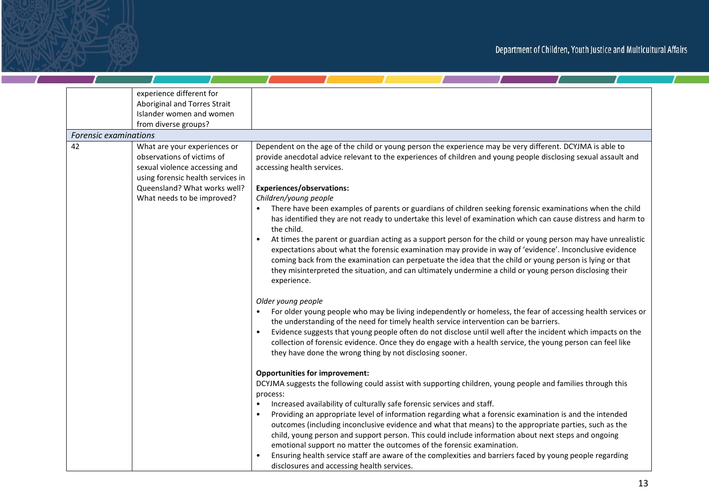<u>and the state of the state of the state of the state of the state of the state of the state of the state of the state of the state of the state of the state of the state of the state of the state of the state of the state</u>

|    | experience different for<br>Aboriginal and Torres Strait<br>Islander women and women<br>from diverse groups?                                                                                   |                                                                                                                                                                                                                                                                                                                                                                                                                                                                                                                                                                                                                                                                                                                                                                                                                                                                                                                                                                                                                                         |
|----|------------------------------------------------------------------------------------------------------------------------------------------------------------------------------------------------|-----------------------------------------------------------------------------------------------------------------------------------------------------------------------------------------------------------------------------------------------------------------------------------------------------------------------------------------------------------------------------------------------------------------------------------------------------------------------------------------------------------------------------------------------------------------------------------------------------------------------------------------------------------------------------------------------------------------------------------------------------------------------------------------------------------------------------------------------------------------------------------------------------------------------------------------------------------------------------------------------------------------------------------------|
|    | Forensic examinations                                                                                                                                                                          |                                                                                                                                                                                                                                                                                                                                                                                                                                                                                                                                                                                                                                                                                                                                                                                                                                                                                                                                                                                                                                         |
| 42 | What are your experiences or<br>observations of victims of<br>sexual violence accessing and<br>using forensic health services in<br>Queensland? What works well?<br>What needs to be improved? | Dependent on the age of the child or young person the experience may be very different. DCYJMA is able to<br>provide anecdotal advice relevant to the experiences of children and young people disclosing sexual assault and<br>accessing health services.<br><b>Experiences/observations:</b><br>Children/young people<br>There have been examples of parents or guardians of children seeking forensic examinations when the child<br>has identified they are not ready to undertake this level of examination which can cause distress and harm to<br>the child.<br>At times the parent or guardian acting as a support person for the child or young person may have unrealistic<br>expectations about what the forensic examination may provide in way of 'evidence'. Inconclusive evidence<br>coming back from the examination can perpetuate the idea that the child or young person is lying or that<br>they misinterpreted the situation, and can ultimately undermine a child or young person disclosing their<br>experience. |
|    |                                                                                                                                                                                                | Older young people<br>For older young people who may be living independently or homeless, the fear of accessing health services or<br>the understanding of the need for timely health service intervention can be barriers.<br>Evidence suggests that young people often do not disclose until well after the incident which impacts on the<br>collection of forensic evidence. Once they do engage with a health service, the young person can feel like<br>they have done the wrong thing by not disclosing sooner.                                                                                                                                                                                                                                                                                                                                                                                                                                                                                                                   |
|    |                                                                                                                                                                                                | <b>Opportunities for improvement:</b><br>DCYJMA suggests the following could assist with supporting children, young people and families through this<br>process:<br>Increased availability of culturally safe forensic services and staff.<br>Providing an appropriate level of information regarding what a forensic examination is and the intended<br>outcomes (including inconclusive evidence and what that means) to the appropriate parties, such as the<br>child, young person and support person. This could include information about next steps and ongoing<br>emotional support no matter the outcomes of the forensic examination.<br>Ensuring health service staff are aware of the complexities and barriers faced by young people regarding<br>disclosures and accessing health services.                                                                                                                                                                                                                               |

 $\overline{1}$ 

 $\mathcal{L}$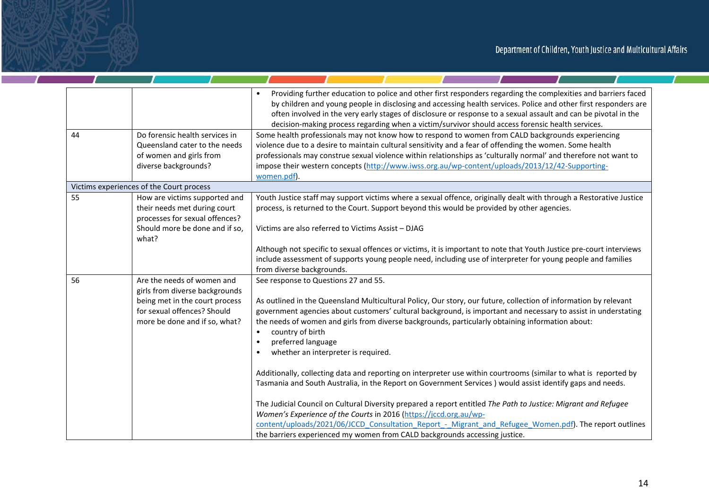$\mathcal{L}$  and  $\mathcal{L}$ 

<u>and the second state of the second state of the second state of the second state of the second state of the second state of the second state of the second state of the second state of the second state of the second state </u>

| 44 | Do forensic health services in<br>Queensland cater to the needs<br>of women and girls from                                                                     | Providing further education to police and other first responders regarding the complexities and barriers faced<br>$\bullet$<br>by children and young people in disclosing and accessing health services. Police and other first responders are<br>often involved in the very early stages of disclosure or response to a sexual assault and can be pivotal in the<br>decision-making process regarding when a victim/survivor should access forensic health services.<br>Some health professionals may not know how to respond to women from CALD backgrounds experiencing<br>violence due to a desire to maintain cultural sensitivity and a fear of offending the women. Some health<br>professionals may construe sexual violence within relationships as 'culturally normal' and therefore not want to |
|----|----------------------------------------------------------------------------------------------------------------------------------------------------------------|------------------------------------------------------------------------------------------------------------------------------------------------------------------------------------------------------------------------------------------------------------------------------------------------------------------------------------------------------------------------------------------------------------------------------------------------------------------------------------------------------------------------------------------------------------------------------------------------------------------------------------------------------------------------------------------------------------------------------------------------------------------------------------------------------------|
|    | diverse backgrounds?                                                                                                                                           | impose their western concepts (http://www.iwss.org.au/wp-content/uploads/2013/12/42-Supporting-<br>women.pdf).                                                                                                                                                                                                                                                                                                                                                                                                                                                                                                                                                                                                                                                                                             |
|    | Victims experiences of the Court process                                                                                                                       |                                                                                                                                                                                                                                                                                                                                                                                                                                                                                                                                                                                                                                                                                                                                                                                                            |
| 55 | How are victims supported and<br>their needs met during court<br>processes for sexual offences?                                                                | Youth Justice staff may support victims where a sexual offence, originally dealt with through a Restorative Justice<br>process, is returned to the Court. Support beyond this would be provided by other agencies.                                                                                                                                                                                                                                                                                                                                                                                                                                                                                                                                                                                         |
|    | Should more be done and if so,<br>what?                                                                                                                        | Victims are also referred to Victims Assist - DJAG                                                                                                                                                                                                                                                                                                                                                                                                                                                                                                                                                                                                                                                                                                                                                         |
|    |                                                                                                                                                                | Although not specific to sexual offences or victims, it is important to note that Youth Justice pre-court interviews<br>include assessment of supports young people need, including use of interpreter for young people and families<br>from diverse backgrounds.                                                                                                                                                                                                                                                                                                                                                                                                                                                                                                                                          |
| 56 | Are the needs of women and<br>girls from diverse backgrounds<br>being met in the court process<br>for sexual offences? Should<br>more be done and if so, what? | See response to Questions 27 and 55.<br>As outlined in the Queensland Multicultural Policy, Our story, our future, collection of information by relevant<br>government agencies about customers' cultural background, is important and necessary to assist in understating<br>the needs of women and girls from diverse backgrounds, particularly obtaining information about:<br>country of birth<br>$\bullet$<br>preferred language<br>$\bullet$<br>whether an interpreter is required.<br>$\bullet$                                                                                                                                                                                                                                                                                                     |
|    |                                                                                                                                                                | Additionally, collecting data and reporting on interpreter use within courtrooms (similar to what is reported by<br>Tasmania and South Australia, in the Report on Government Services) would assist identify gaps and needs.<br>The Judicial Council on Cultural Diversity prepared a report entitled The Path to Justice: Migrant and Refugee<br>Women's Experience of the Courts in 2016 (https://jccd.org.au/wp-<br>content/uploads/2021/06/JCCD_Consultation_Report_-_Migrant_and_Refugee_Women.pdf). The report outlines<br>the barriers experienced my women from CALD backgrounds accessing justice.                                                                                                                                                                                               |

and the contract of the contract of

 $\mathcal{L}$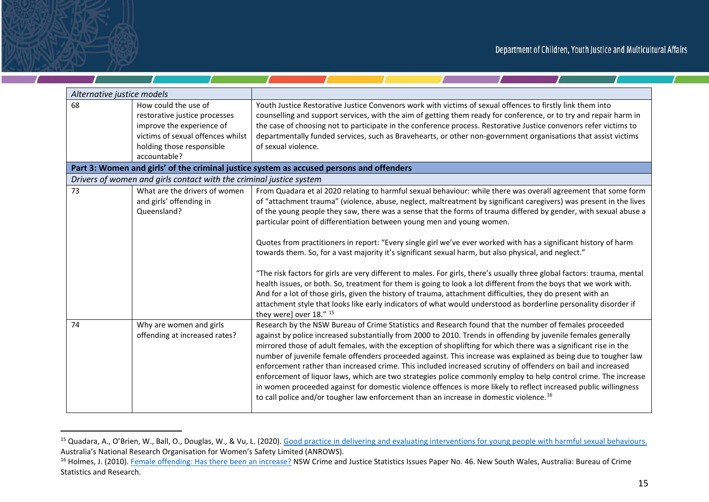| Alternative justice models |                                                                                                                                                                      |                                                                                                                                                                                                                                                                                                                                                                                                                                                                                                                                                                                                                                                                                                                                                                                                                                                                                                                                                                                                                                                                                                                                                                              |
|----------------------------|----------------------------------------------------------------------------------------------------------------------------------------------------------------------|------------------------------------------------------------------------------------------------------------------------------------------------------------------------------------------------------------------------------------------------------------------------------------------------------------------------------------------------------------------------------------------------------------------------------------------------------------------------------------------------------------------------------------------------------------------------------------------------------------------------------------------------------------------------------------------------------------------------------------------------------------------------------------------------------------------------------------------------------------------------------------------------------------------------------------------------------------------------------------------------------------------------------------------------------------------------------------------------------------------------------------------------------------------------------|
| 68                         | How could the use of<br>restorative justice processes<br>improve the experience of<br>victims of sexual offences whilst<br>holding those responsible<br>accountable? | Youth Justice Restorative Justice Convenors work with victims of sexual offences to firstly link them into<br>counselling and support services, with the aim of getting them ready for conference, or to try and repair harm in<br>the case of choosing not to participate in the conference process. Restorative Justice convenors refer victims to<br>departmentally funded services, such as Bravehearts, or other non-government organisations that assist victims<br>of sexual violence.                                                                                                                                                                                                                                                                                                                                                                                                                                                                                                                                                                                                                                                                                |
|                            |                                                                                                                                                                      | Part 3: Women and girls' of the criminal justice system as accused persons and offenders                                                                                                                                                                                                                                                                                                                                                                                                                                                                                                                                                                                                                                                                                                                                                                                                                                                                                                                                                                                                                                                                                     |
|                            | Drivers of women and girls contact with the criminal justice system                                                                                                  |                                                                                                                                                                                                                                                                                                                                                                                                                                                                                                                                                                                                                                                                                                                                                                                                                                                                                                                                                                                                                                                                                                                                                                              |
| 73                         | What are the drivers of women<br>and girls' offending in<br>Queensland?                                                                                              | From Quadara et al 2020 relating to harmful sexual behaviour: while there was overall agreement that some form<br>of "attachment trauma" (violence, abuse, neglect, maltreatment by significant caregivers) was present in the lives<br>of the young people they saw, there was a sense that the forms of trauma differed by gender, with sexual abuse a<br>particular point of differentiation between young men and young women.<br>Quotes from practitioners in report: "Every single girl we've ever worked with has a significant history of harm<br>towards them. So, for a vast majority it's significant sexual harm, but also physical, and neglect."<br>"The risk factors for girls are very different to males. For girls, there's usually three global factors: trauma, mental<br>health issues, or both. So, treatment for them is going to look a lot different from the boys that we work with.<br>And for a lot of those girls, given the history of trauma, attachment difficulties, they do present with an<br>attachment style that looks like early indicators of what would understood as borderline personality disorder if<br>they were] over 18." 15 |
| 74                         | Why are women and girls<br>offending at increased rates?                                                                                                             | Research by the NSW Bureau of Crime Statistics and Research found that the number of females proceeded<br>against by police increased substantially from 2000 to 2010. Trends in offending by juvenile females generally<br>mirrored those of adult females, with the exception of shoplifting for which there was a significant rise in the<br>number of juvenile female offenders proceeded against. This increase was explained as being due to tougher law<br>enforcement rather than increased crime. This included increased scrutiny of offenders on bail and increased<br>enforcement of liquor laws, which are two strategies police commonly employ to help control crime. The increase<br>in women proceeded against for domestic violence offences is more likely to reflect increased public willingness<br>to call police and/or tougher law enforcement than an increase in domestic violence. <sup>16</sup>                                                                                                                                                                                                                                                  |

<sup>&</sup>lt;sup>15</sup> Quadara, A., O'Brien, W., Ball, O., Douglas, W., & Vu, L. (2020). Good practice in delivering and evaluating interventions for young people with harmful sexual behaviours. Australia's National Research Organisation for Women's Safety Limited (ANROWS).

<sup>&</sup>lt;sup>16</sup> Holmes, J. (2010). Female offending: Has there been an increase? NSW Crime and Justice Statistics Issues Paper No. 46. New South Wales, Australia: Bureau of Crime Statistics and Research.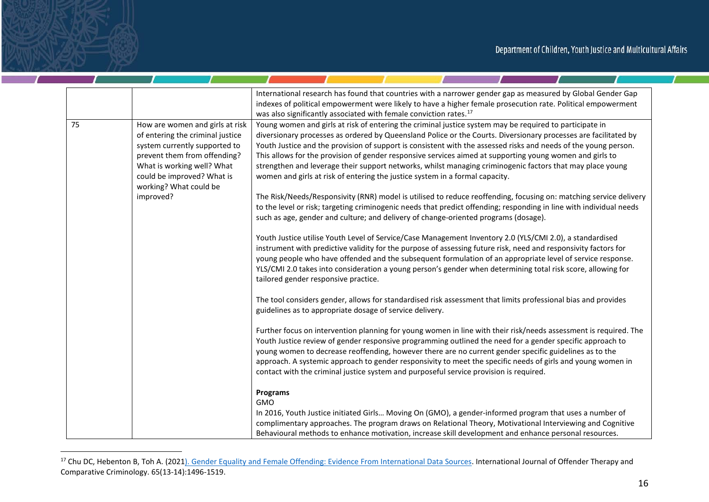|    |                                                                                                                                                                                                                            | International research has found that countries with a narrower gender gap as measured by Global Gender Gap<br>indexes of political empowerment were likely to have a higher female prosecution rate. Political empowerment<br>was also significantly associated with female conviction rates. <sup>17</sup>                                                                                                                                                                                                                                                                                                                                           |
|----|----------------------------------------------------------------------------------------------------------------------------------------------------------------------------------------------------------------------------|--------------------------------------------------------------------------------------------------------------------------------------------------------------------------------------------------------------------------------------------------------------------------------------------------------------------------------------------------------------------------------------------------------------------------------------------------------------------------------------------------------------------------------------------------------------------------------------------------------------------------------------------------------|
| 75 | How are women and girls at risk<br>of entering the criminal justice<br>system currently supported to<br>prevent them from offending?<br>What is working well? What<br>could be improved? What is<br>working? What could be | Young women and girls at risk of entering the criminal justice system may be required to participate in<br>diversionary processes as ordered by Queensland Police or the Courts. Diversionary processes are facilitated by<br>Youth Justice and the provision of support is consistent with the assessed risks and needs of the young person.<br>This allows for the provision of gender responsive services aimed at supporting young women and girls to<br>strengthen and leverage their support networks, whilst managing criminogenic factors that may place young<br>women and girls at risk of entering the justice system in a formal capacity. |
|    | improved?                                                                                                                                                                                                                  | The Risk/Needs/Responsivity (RNR) model is utilised to reduce reoffending, focusing on: matching service delivery<br>to the level or risk; targeting criminogenic needs that predict offending; responding in line with individual needs<br>such as age, gender and culture; and delivery of change-oriented programs (dosage).                                                                                                                                                                                                                                                                                                                        |
|    |                                                                                                                                                                                                                            | Youth Justice utilise Youth Level of Service/Case Management Inventory 2.0 (YLS/CMI 2.0), a standardised<br>instrument with predictive validity for the purpose of assessing future risk, need and responsivity factors for<br>young people who have offended and the subsequent formulation of an appropriate level of service response.<br>YLS/CMI 2.0 takes into consideration a young person's gender when determining total risk score, allowing for<br>tailored gender responsive practice.                                                                                                                                                      |
|    |                                                                                                                                                                                                                            | The tool considers gender, allows for standardised risk assessment that limits professional bias and provides<br>guidelines as to appropriate dosage of service delivery.                                                                                                                                                                                                                                                                                                                                                                                                                                                                              |
|    |                                                                                                                                                                                                                            | Further focus on intervention planning for young women in line with their risk/needs assessment is required. The<br>Youth Justice review of gender responsive programming outlined the need for a gender specific approach to<br>young women to decrease reoffending, however there are no current gender specific guidelines as to the<br>approach. A systemic approach to gender responsivity to meet the specific needs of girls and young women in<br>contact with the criminal justice system and purposeful service provision is required.                                                                                                       |
|    |                                                                                                                                                                                                                            | <b>Programs</b><br><b>GMO</b><br>In 2016, Youth Justice initiated Girls Moving On (GMO), a gender-informed program that uses a number of<br>complimentary approaches. The program draws on Relational Theory, Motivational Interviewing and Cognitive<br>Behavioural methods to enhance motivation, increase skill development and enhance personal resources.                                                                                                                                                                                                                                                                                         |

 $\mathcal{L}$ 

<sup>&</sup>lt;sup>17</sup> Chu DC, Hebenton B, Toh A. (2021). Gender Equality and Female Offending: Evidence From International Data Sources. International Journal of Offender Therapy and Comparative Criminology. 65(13-14):1496-1519.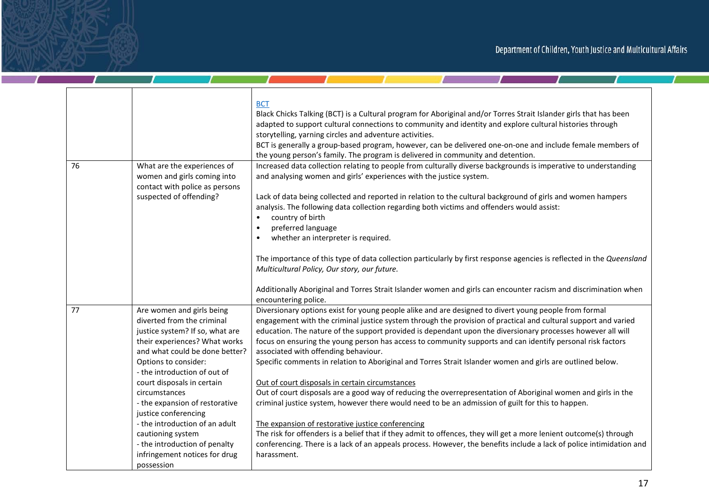$\mathcal{I}$  and  $\mathcal{I}$  and  $\mathcal{I}$ 

|    |                                                                                                                                                                                                                       | <b>BCT</b><br>Black Chicks Talking (BCT) is a Cultural program for Aboriginal and/or Torres Strait Islander girls that has been<br>adapted to support cultural connections to community and identity and explore cultural histories through<br>storytelling, yarning circles and adventure activities.<br>BCT is generally a group-based program, however, can be delivered one-on-one and include female members of<br>the young person's family. The program is delivered in community and detention.                                                                                                                                                       |
|----|-----------------------------------------------------------------------------------------------------------------------------------------------------------------------------------------------------------------------|---------------------------------------------------------------------------------------------------------------------------------------------------------------------------------------------------------------------------------------------------------------------------------------------------------------------------------------------------------------------------------------------------------------------------------------------------------------------------------------------------------------------------------------------------------------------------------------------------------------------------------------------------------------|
| 76 | What are the experiences of<br>women and girls coming into<br>contact with police as persons<br>suspected of offending?                                                                                               | Increased data collection relating to people from culturally diverse backgrounds is imperative to understanding<br>and analysing women and girls' experiences with the justice system.<br>Lack of data being collected and reported in relation to the cultural background of girls and women hampers<br>analysis. The following data collection regarding both victims and offenders would assist:<br>country of birth<br>preferred language<br>whether an interpreter is required.<br>The importance of this type of data collection particularly by first response agencies is reflected in the Queensland<br>Multicultural Policy, Our story, our future. |
|    |                                                                                                                                                                                                                       | Additionally Aboriginal and Torres Strait Islander women and girls can encounter racism and discrimination when<br>encountering police.                                                                                                                                                                                                                                                                                                                                                                                                                                                                                                                       |
| 77 | Are women and girls being<br>diverted from the criminal<br>justice system? If so, what are<br>their experiences? What works<br>and what could be done better?<br>Options to consider:<br>- the introduction of out of | Diversionary options exist for young people alike and are designed to divert young people from formal<br>engagement with the criminal justice system through the provision of practical and cultural support and varied<br>education. The nature of the support provided is dependant upon the diversionary processes however all will<br>focus on ensuring the young person has access to community supports and can identify personal risk factors<br>associated with offending behaviour.<br>Specific comments in relation to Aboriginal and Torres Strait Islander women and girls are outlined below.                                                    |
|    | court disposals in certain<br>circumstances<br>- the expansion of restorative<br>justice conferencing                                                                                                                 | Out of court disposals in certain circumstances<br>Out of court disposals are a good way of reducing the overrepresentation of Aboriginal women and girls in the<br>criminal justice system, however there would need to be an admission of guilt for this to happen.                                                                                                                                                                                                                                                                                                                                                                                         |
|    | - the introduction of an adult<br>cautioning system<br>- the introduction of penalty<br>infringement notices for drug<br>possession                                                                                   | The expansion of restorative justice conferencing<br>The risk for offenders is a belief that if they admit to offences, they will get a more lenient outcome(s) through<br>conferencing. There is a lack of an appeals process. However, the benefits include a lack of police intimidation and<br>harassment.                                                                                                                                                                                                                                                                                                                                                |

- 1

 $\mathcal{L}$  and  $\mathcal{L}$ 

 $\blacksquare$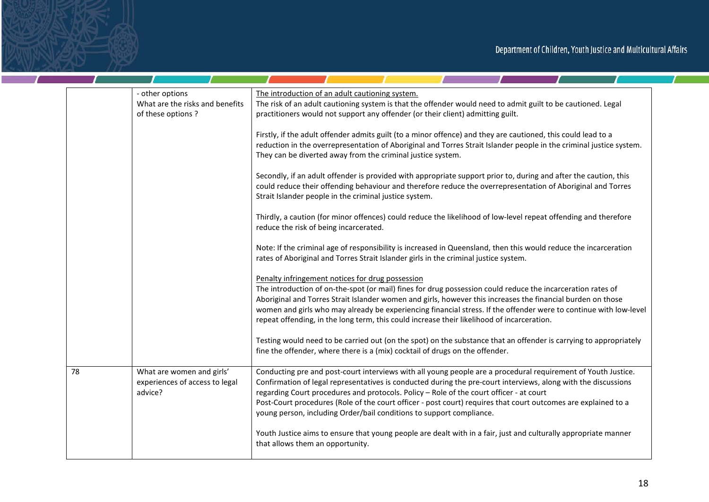|    | - other options<br>What are the risks and benefits<br>of these options? | The introduction of an adult cautioning system.<br>The risk of an adult cautioning system is that the offender would need to admit guilt to be cautioned. Legal<br>practitioners would not support any offender (or their client) admitting guilt.                                                                                                                                                                                                                                                                   |
|----|-------------------------------------------------------------------------|----------------------------------------------------------------------------------------------------------------------------------------------------------------------------------------------------------------------------------------------------------------------------------------------------------------------------------------------------------------------------------------------------------------------------------------------------------------------------------------------------------------------|
|    |                                                                         | Firstly, if the adult offender admits guilt (to a minor offence) and they are cautioned, this could lead to a<br>reduction in the overrepresentation of Aboriginal and Torres Strait Islander people in the criminal justice system.<br>They can be diverted away from the criminal justice system.                                                                                                                                                                                                                  |
|    |                                                                         | Secondly, if an adult offender is provided with appropriate support prior to, during and after the caution, this<br>could reduce their offending behaviour and therefore reduce the overrepresentation of Aboriginal and Torres<br>Strait Islander people in the criminal justice system.                                                                                                                                                                                                                            |
|    |                                                                         | Thirdly, a caution (for minor offences) could reduce the likelihood of low-level repeat offending and therefore<br>reduce the risk of being incarcerated.                                                                                                                                                                                                                                                                                                                                                            |
|    |                                                                         | Note: If the criminal age of responsibility is increased in Queensland, then this would reduce the incarceration<br>rates of Aboriginal and Torres Strait Islander girls in the criminal justice system.                                                                                                                                                                                                                                                                                                             |
|    |                                                                         | Penalty infringement notices for drug possession<br>The introduction of on-the-spot (or mail) fines for drug possession could reduce the incarceration rates of<br>Aboriginal and Torres Strait Islander women and girls, however this increases the financial burden on those<br>women and girls who may already be experiencing financial stress. If the offender were to continue with low-level<br>repeat offending, in the long term, this could increase their likelihood of incarceration.                    |
|    |                                                                         | Testing would need to be carried out (on the spot) on the substance that an offender is carrying to appropriately<br>fine the offender, where there is a (mix) cocktail of drugs on the offender.                                                                                                                                                                                                                                                                                                                    |
| 78 | What are women and girls'<br>experiences of access to legal<br>advice?  | Conducting pre and post-court interviews with all young people are a procedural requirement of Youth Justice.<br>Confirmation of legal representatives is conducted during the pre-court interviews, along with the discussions<br>regarding Court procedures and protocols. Policy - Role of the court officer - at court<br>Post-Court procedures (Role of the court officer - post court) requires that court outcomes are explained to a<br>young person, including Order/bail conditions to support compliance. |
|    |                                                                         | Youth Justice aims to ensure that young people are dealt with in a fair, just and culturally appropriate manner<br>that allows them an opportunity.                                                                                                                                                                                                                                                                                                                                                                  |
|    |                                                                         |                                                                                                                                                                                                                                                                                                                                                                                                                                                                                                                      |

**Contract Contract Street** 

 $\mathcal{T}$ 

a sa kacamatan ing Kabupatèn Kabupatèn

- T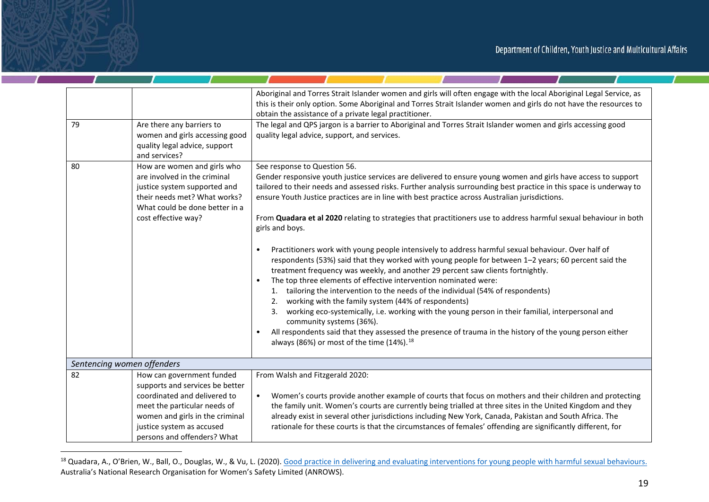| 79 | Are there any barriers to<br>women and girls accessing good<br>quality legal advice, support<br>and services?                                                                                                               | Aboriginal and Torres Strait Islander women and girls will often engage with the local Aboriginal Legal Service, as<br>this is their only option. Some Aboriginal and Torres Strait Islander women and girls do not have the resources to<br>obtain the assistance of a private legal practitioner.<br>The legal and QPS jargon is a barrier to Aboriginal and Torres Strait Islander women and girls accessing good<br>quality legal advice, support, and services.                                                                                                                                                                                                                                                                                                                                                                                                                                                                                                                                                                                                                                                                                                                                                                                                                                                                                        |
|----|-----------------------------------------------------------------------------------------------------------------------------------------------------------------------------------------------------------------------------|-------------------------------------------------------------------------------------------------------------------------------------------------------------------------------------------------------------------------------------------------------------------------------------------------------------------------------------------------------------------------------------------------------------------------------------------------------------------------------------------------------------------------------------------------------------------------------------------------------------------------------------------------------------------------------------------------------------------------------------------------------------------------------------------------------------------------------------------------------------------------------------------------------------------------------------------------------------------------------------------------------------------------------------------------------------------------------------------------------------------------------------------------------------------------------------------------------------------------------------------------------------------------------------------------------------------------------------------------------------|
| 80 | How are women and girls who<br>are involved in the criminal<br>justice system supported and<br>their needs met? What works?<br>What could be done better in a<br>cost effective way?                                        | See response to Question 56.<br>Gender responsive youth justice services are delivered to ensure young women and girls have access to support<br>tailored to their needs and assessed risks. Further analysis surrounding best practice in this space is underway to<br>ensure Youth Justice practices are in line with best practice across Australian jurisdictions.<br>From Quadara et al 2020 relating to strategies that practitioners use to address harmful sexual behaviour in both<br>girls and boys.<br>Practitioners work with young people intensively to address harmful sexual behaviour. Over half of<br>$\bullet$<br>respondents (53%) said that they worked with young people for between 1-2 years; 60 percent said the<br>treatment frequency was weekly, and another 29 percent saw clients fortnightly.<br>The top three elements of effective intervention nominated were:<br>1. tailoring the intervention to the needs of the individual (54% of respondents)<br>working with the family system (44% of respondents)<br>2.<br>3. working eco-systemically, i.e. working with the young person in their familial, interpersonal and<br>community systems (36%).<br>All respondents said that they assessed the presence of trauma in the history of the young person either<br>always (86%) or most of the time (14%). <sup>18</sup> |
|    | Sentencing women offenders                                                                                                                                                                                                  |                                                                                                                                                                                                                                                                                                                                                                                                                                                                                                                                                                                                                                                                                                                                                                                                                                                                                                                                                                                                                                                                                                                                                                                                                                                                                                                                                             |
| 82 | How can government funded<br>supports and services be better<br>coordinated and delivered to<br>meet the particular needs of<br>women and girls in the criminal<br>justice system as accused<br>persons and offenders? What | From Walsh and Fitzgerald 2020:<br>Women's courts provide another example of courts that focus on mothers and their children and protecting<br>$\bullet$<br>the family unit. Women's courts are currently being trialled at three sites in the United Kingdom and they<br>already exist in several other jurisdictions including New York, Canada, Pakistan and South Africa. The<br>rationale for these courts is that the circumstances of females' offending are significantly different, for                                                                                                                                                                                                                                                                                                                                                                                                                                                                                                                                                                                                                                                                                                                                                                                                                                                            |

<sup>&</sup>lt;sup>18</sup> Quadara, A., O'Brien, W., Ball, O., Douglas, W., & Vu, L. (2020). Good practice in delivering and evaluating interventions for young people with harmful sexual behaviours. Australia's National Research Organisation for Women's Safety Limited (ANROWS).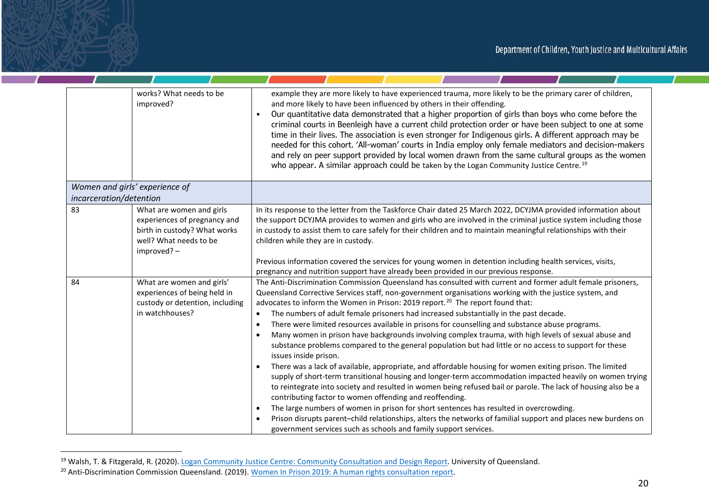$\mathcal{L}$  and  $\mathcal{L}$  and  $\mathcal{L}$ 

**Contract Contract Contract** 

|    | works? What needs to be<br>improved?                                                                                             | example they are more likely to have experienced trauma, more likely to be the primary carer of children,<br>and more likely to have been influenced by others in their offending.<br>Our quantitative data demonstrated that a higher proportion of girls than boys who come before the<br>criminal courts in Beenleigh have a current child protection order or have been subject to one at some<br>time in their lives. The association is even stronger for Indigenous girls. A different approach may be<br>needed for this cohort. 'All-woman' courts in India employ only female mediators and decision-makers<br>and rely on peer support provided by local women drawn from the same cultural groups as the women<br>who appear. A similar approach could be taken by the Logan Community Justice Centre. <sup>19</sup>                                                                                                                                                                                                                                                                                                                                                                                                                                                                                                                                                                                                                                         |
|----|----------------------------------------------------------------------------------------------------------------------------------|--------------------------------------------------------------------------------------------------------------------------------------------------------------------------------------------------------------------------------------------------------------------------------------------------------------------------------------------------------------------------------------------------------------------------------------------------------------------------------------------------------------------------------------------------------------------------------------------------------------------------------------------------------------------------------------------------------------------------------------------------------------------------------------------------------------------------------------------------------------------------------------------------------------------------------------------------------------------------------------------------------------------------------------------------------------------------------------------------------------------------------------------------------------------------------------------------------------------------------------------------------------------------------------------------------------------------------------------------------------------------------------------------------------------------------------------------------------------------|
|    | Women and girls' experience of                                                                                                   |                                                                                                                                                                                                                                                                                                                                                                                                                                                                                                                                                                                                                                                                                                                                                                                                                                                                                                                                                                                                                                                                                                                                                                                                                                                                                                                                                                                                                                                                          |
|    | incarceration/detention                                                                                                          |                                                                                                                                                                                                                                                                                                                                                                                                                                                                                                                                                                                                                                                                                                                                                                                                                                                                                                                                                                                                                                                                                                                                                                                                                                                                                                                                                                                                                                                                          |
| 83 | What are women and girls<br>experiences of pregnancy and<br>birth in custody? What works<br>well? What needs to be<br>improved?- | In its response to the letter from the Taskforce Chair dated 25 March 2022, DCYJMA provided information about<br>the support DCYJMA provides to women and girls who are involved in the criminal justice system including those<br>in custody to assist them to care safely for their children and to maintain meaningful relationships with their<br>children while they are in custody.<br>Previous information covered the services for young women in detention including health services, visits,<br>pregnancy and nutrition support have already been provided in our previous response.                                                                                                                                                                                                                                                                                                                                                                                                                                                                                                                                                                                                                                                                                                                                                                                                                                                                           |
| 84 | What are women and girls'<br>experiences of being held in<br>custody or detention, including<br>in watchhouses?                  | The Anti-Discrimination Commission Queensland has consulted with current and former adult female prisoners,<br>Queensland Corrective Services staff, non-government organisations working with the justice system, and<br>advocates to inform the Women in Prison: 2019 report. <sup>20</sup> The report found that:<br>The numbers of adult female prisoners had increased substantially in the past decade.<br>There were limited resources available in prisons for counselling and substance abuse programs.<br>$\bullet$<br>Many women in prison have backgrounds involving complex trauma, with high levels of sexual abuse and<br>substance problems compared to the general population but had little or no access to support for these<br>issues inside prison.<br>There was a lack of available, appropriate, and affordable housing for women exiting prison. The limited<br>supply of short-term transitional housing and longer-term accommodation impacted heavily on women trying<br>to reintegrate into society and resulted in women being refused bail or parole. The lack of housing also be a<br>contributing factor to women offending and reoffending.<br>The large numbers of women in prison for short sentences has resulted in overcrowding.<br>$\bullet$<br>Prison disrupts parent-child relationships, alters the networks of familial support and places new burdens on<br>government services such as schools and family support services. |

<sup>&</sup>lt;sup>19</sup> Walsh, T. & Fitzgerald, R. (2020). Logan Community Justice Centre: Community Consultation and Design Report. University of Queensland.

 $\mathbf{r}$ 

<sup>&</sup>lt;sup>20</sup> Anti-Discrimination Commission Queensland. (2019). Women In Prison 2019: A human rights consultation report.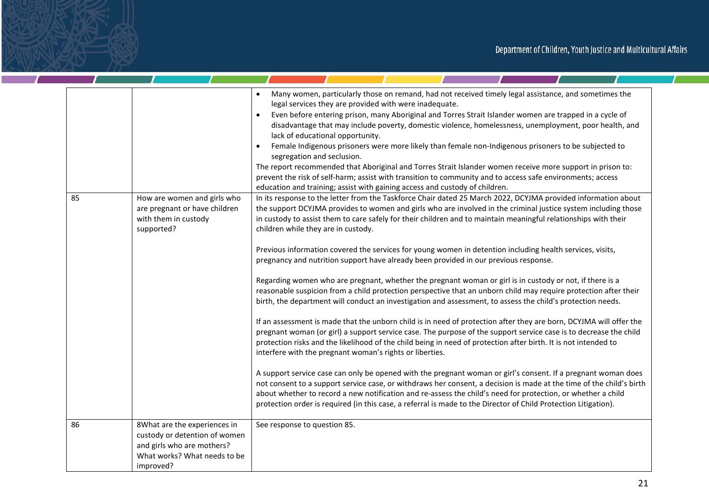<u>and the state of the state of the state of the state of the state of the state of the state of the state of the state of the state of the state of the state of the state of the state of the state of the state of the state</u>

|    |                                                                                                                                          | Many women, particularly those on remand, had not received timely legal assistance, and sometimes the<br>$\bullet$<br>legal services they are provided with were inadequate.<br>Even before entering prison, many Aboriginal and Torres Strait Islander women are trapped in a cycle of<br>$\bullet$<br>disadvantage that may include poverty, domestic violence, homelessness, unemployment, poor health, and<br>lack of educational opportunity.<br>Female Indigenous prisoners were more likely than female non-Indigenous prisoners to be subjected to<br>$\bullet$<br>segregation and seclusion.<br>The report recommended that Aboriginal and Torres Strait Islander women receive more support in prison to:<br>prevent the risk of self-harm; assist with transition to community and to access safe environments; access<br>education and training; assist with gaining access and custody of children.                                                                                                                                                                            |
|----|------------------------------------------------------------------------------------------------------------------------------------------|---------------------------------------------------------------------------------------------------------------------------------------------------------------------------------------------------------------------------------------------------------------------------------------------------------------------------------------------------------------------------------------------------------------------------------------------------------------------------------------------------------------------------------------------------------------------------------------------------------------------------------------------------------------------------------------------------------------------------------------------------------------------------------------------------------------------------------------------------------------------------------------------------------------------------------------------------------------------------------------------------------------------------------------------------------------------------------------------|
| 85 | How are women and girls who<br>are pregnant or have children<br>with them in custody<br>supported?                                       | In its response to the letter from the Taskforce Chair dated 25 March 2022, DCYJMA provided information about<br>the support DCYJMA provides to women and girls who are involved in the criminal justice system including those<br>in custody to assist them to care safely for their children and to maintain meaningful relationships with their<br>children while they are in custody.                                                                                                                                                                                                                                                                                                                                                                                                                                                                                                                                                                                                                                                                                                   |
|    |                                                                                                                                          | Previous information covered the services for young women in detention including health services, visits,<br>pregnancy and nutrition support have already been provided in our previous response.<br>Regarding women who are pregnant, whether the pregnant woman or girl is in custody or not, if there is a<br>reasonable suspicion from a child protection perspective that an unborn child may require protection after their<br>birth, the department will conduct an investigation and assessment, to assess the child's protection needs.<br>If an assessment is made that the unborn child is in need of protection after they are born, DCYJMA will offer the<br>pregnant woman (or girl) a support service case. The purpose of the support service case is to decrease the child<br>protection risks and the likelihood of the child being in need of protection after birth. It is not intended to<br>interfere with the pregnant woman's rights or liberties.<br>A support service case can only be opened with the pregnant woman or girl's consent. If a pregnant woman does |
|    |                                                                                                                                          | not consent to a support service case, or withdraws her consent, a decision is made at the time of the child's birth<br>about whether to record a new notification and re-assess the child's need for protection, or whether a child<br>protection order is required (in this case, a referral is made to the Director of Child Protection Litigation).                                                                                                                                                                                                                                                                                                                                                                                                                                                                                                                                                                                                                                                                                                                                     |
| 86 | 8What are the experiences in<br>custody or detention of women<br>and girls who are mothers?<br>What works? What needs to be<br>improved? | See response to question 85.                                                                                                                                                                                                                                                                                                                                                                                                                                                                                                                                                                                                                                                                                                                                                                                                                                                                                                                                                                                                                                                                |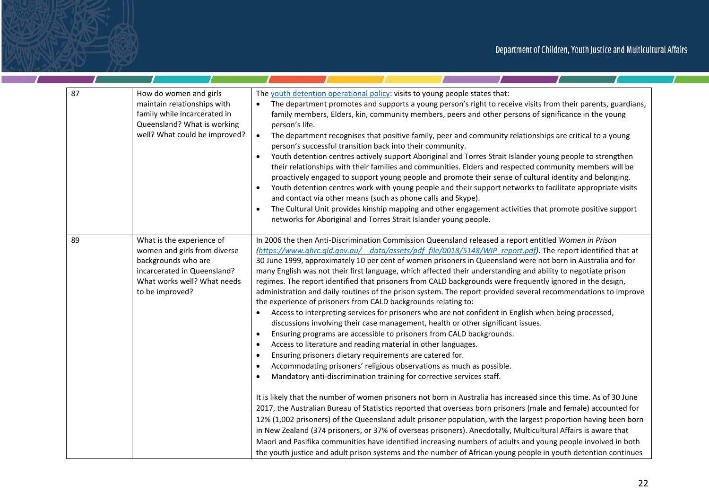<u>and the state of the state of the state of the state of the state of the state of the state of the state of the state of the state of the state of the state of the state of the state of the state of the state of the state</u>

| 87 | How do women and girls<br>maintain relationships with<br>family while incarcerated in<br>Queensland? What is working<br>well? What could be improved?             | The youth detention operational policy: visits to young people states that:<br>The department promotes and supports a young person's right to receive visits from their parents, guardians,<br>family members, Elders, kin, community members, peers and other persons of significance in the young<br>person's life.<br>The department recognises that positive family, peer and community relationships are critical to a young<br>$\bullet$<br>person's successful transition back into their community.<br>Youth detention centres actively support Aboriginal and Torres Strait Islander young people to strengthen<br>$\bullet$<br>their relationships with their families and communities. Elders and respected community members will be<br>proactively engaged to support young people and promote their sense of cultural identity and belonging.<br>Youth detention centres work with young people and their support networks to facilitate appropriate visits<br>$\bullet$<br>and contact via other means (such as phone calls and Skype).<br>The Cultural Unit provides kinship mapping and other engagement activities that promote positive support<br>$\bullet$<br>networks for Aboriginal and Torres Strait Islander young people.                                                                                                       |
|----|-------------------------------------------------------------------------------------------------------------------------------------------------------------------|-----------------------------------------------------------------------------------------------------------------------------------------------------------------------------------------------------------------------------------------------------------------------------------------------------------------------------------------------------------------------------------------------------------------------------------------------------------------------------------------------------------------------------------------------------------------------------------------------------------------------------------------------------------------------------------------------------------------------------------------------------------------------------------------------------------------------------------------------------------------------------------------------------------------------------------------------------------------------------------------------------------------------------------------------------------------------------------------------------------------------------------------------------------------------------------------------------------------------------------------------------------------------------------------------------------------------------------------------------------|
| 89 | What is the experience of<br>women and girls from diverse<br>backgrounds who are<br>incarcerated in Queensland?<br>What works well? What needs<br>to be improved? | In 2006 the then Anti-Discrimination Commission Queensland released a report entitled Women in Prison<br>(https://www.ghrc.gld.gov.au/ data/assets/pdf file/0018/5148/WIP report.pdf). The report identified that at<br>30 June 1999, approximately 10 per cent of women prisoners in Queensland were not born in Australia and for<br>many English was not their first language, which affected their understanding and ability to negotiate prison<br>regimes. The report identified that prisoners from CALD backgrounds were frequently ignored in the design,<br>administration and daily routines of the prison system. The report provided several recommendations to improve<br>the experience of prisoners from CALD backgrounds relating to:<br>Access to interpreting services for prisoners who are not confident in English when being processed,<br>discussions involving their case management, health or other significant issues.<br>Ensuring programs are accessible to prisoners from CALD backgrounds.<br>٠<br>Access to literature and reading material in other languages.<br>$\bullet$<br>Ensuring prisoners dietary requirements are catered for.<br>٠<br>Accommodating prisoners' religious observations as much as possible.<br>$\bullet$<br>Mandatory anti-discrimination training for corrective services staff.<br>$\bullet$ |
|    |                                                                                                                                                                   | It is likely that the number of women prisoners not born in Australia has increased since this time. As of 30 June<br>2017, the Australian Bureau of Statistics reported that overseas born prisoners (male and female) accounted for<br>12% (1,002 prisoners) of the Queensland adult prisoner population, with the largest proportion having been born<br>in New Zealand (374 prisoners, or 37% of overseas prisoners). Anecdotally, Multicultural Affairs is aware that<br>Maori and Pasifika communities have identified increasing numbers of adults and young people involved in both<br>the youth justice and adult prison systems and the number of African young people in youth detention continues                                                                                                                                                                                                                                                                                                                                                                                                                                                                                                                                                                                                                                             |

 $\mathcal{L}$ 

a,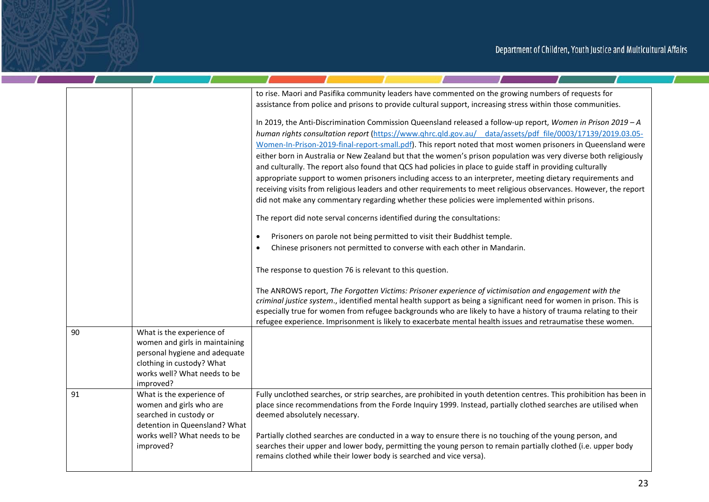$\mathcal{L}$ 

the company of the company

- T

|    |                                                                                                                              | to rise. Maori and Pasifika community leaders have commented on the growing numbers of requests for<br>assistance from police and prisons to provide cultural support, increasing stress within those communities.                                                                                                                               |
|----|------------------------------------------------------------------------------------------------------------------------------|--------------------------------------------------------------------------------------------------------------------------------------------------------------------------------------------------------------------------------------------------------------------------------------------------------------------------------------------------|
|    |                                                                                                                              | In 2019, the Anti-Discrimination Commission Queensland released a follow-up report, Women in Prison 2019 - A<br>human rights consultation report (https://www.qhrc.qld.gov.au/ data/assets/pdf file/0003/17139/2019.03.05-<br>Women-In-Prison-2019-final-report-small.pdf). This report noted that most women prisoners in Queensland were       |
|    |                                                                                                                              | either born in Australia or New Zealand but that the women's prison population was very diverse both religiously<br>and culturally. The report also found that QCS had policies in place to guide staff in providing culturally<br>appropriate support to women prisoners including access to an interpreter, meeting dietary requirements and   |
|    |                                                                                                                              | receiving visits from religious leaders and other requirements to meet religious observances. However, the report<br>did not make any commentary regarding whether these policies were implemented within prisons.                                                                                                                               |
|    |                                                                                                                              | The report did note serval concerns identified during the consultations:                                                                                                                                                                                                                                                                         |
|    |                                                                                                                              | Prisoners on parole not being permitted to visit their Buddhist temple.<br>$\bullet$                                                                                                                                                                                                                                                             |
|    |                                                                                                                              | Chinese prisoners not permitted to converse with each other in Mandarin.                                                                                                                                                                                                                                                                         |
|    |                                                                                                                              | The response to question 76 is relevant to this question.                                                                                                                                                                                                                                                                                        |
|    |                                                                                                                              | The ANROWS report, The Forgotten Victims: Prisoner experience of victimisation and engagement with the<br>criminal justice system., identified mental health support as being a significant need for women in prison. This is<br>especially true for women from refugee backgrounds who are likely to have a history of trauma relating to their |
| 90 | What is the experience of                                                                                                    | refugee experience. Imprisonment is likely to exacerbate mental health issues and retraumatise these women.                                                                                                                                                                                                                                      |
|    | women and girls in maintaining<br>personal hygiene and adequate<br>clothing in custody? What<br>works well? What needs to be |                                                                                                                                                                                                                                                                                                                                                  |
| 91 | improved?<br>What is the experience of<br>women and girls who are<br>searched in custody or<br>detention in Queensland? What | Fully unclothed searches, or strip searches, are prohibited in youth detention centres. This prohibition has been in<br>place since recommendations from the Forde Inquiry 1999. Instead, partially clothed searches are utilised when<br>deemed absolutely necessary.                                                                           |
|    | works well? What needs to be<br>improved?                                                                                    | Partially clothed searches are conducted in a way to ensure there is no touching of the young person, and<br>searches their upper and lower body, permitting the young person to remain partially clothed (i.e. upper body<br>remains clothed while their lower body is searched and vice versa).                                                |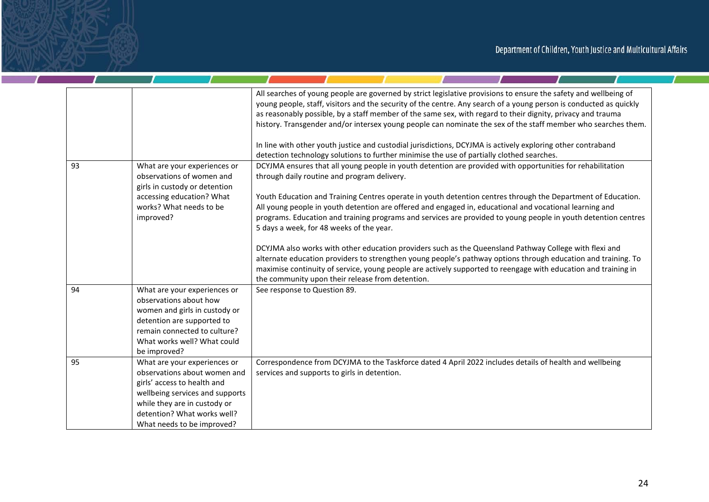<u>and the state of the state of the state of the state of the state of the state of the state of the state of the state of the state of the state of the state of the state of the state of the state of the state of the state</u>

|    |                                                                                                                                                                                                                             | All searches of young people are governed by strict legislative provisions to ensure the safety and wellbeing of<br>young people, staff, visitors and the security of the centre. Any search of a young person is conducted as quickly<br>as reasonably possible, by a staff member of the same sex, with regard to their dignity, privacy and trauma<br>history. Transgender and/or intersex young people can nominate the sex of the staff member who searches them.<br>In line with other youth justice and custodial jurisdictions, DCYJMA is actively exploring other contraband<br>detection technology solutions to further minimise the use of partially clothed searches. |
|----|-----------------------------------------------------------------------------------------------------------------------------------------------------------------------------------------------------------------------------|------------------------------------------------------------------------------------------------------------------------------------------------------------------------------------------------------------------------------------------------------------------------------------------------------------------------------------------------------------------------------------------------------------------------------------------------------------------------------------------------------------------------------------------------------------------------------------------------------------------------------------------------------------------------------------|
| 93 | What are your experiences or<br>observations of women and<br>girls in custody or detention<br>accessing education? What<br>works? What needs to be<br>improved?                                                             | DCYJMA ensures that all young people in youth detention are provided with opportunities for rehabilitation<br>through daily routine and program delivery.<br>Youth Education and Training Centres operate in youth detention centres through the Department of Education.<br>All young people in youth detention are offered and engaged in, educational and vocational learning and<br>programs. Education and training programs and services are provided to young people in youth detention centres<br>5 days a week, for 48 weeks of the year.                                                                                                                                 |
|    |                                                                                                                                                                                                                             | DCYJMA also works with other education providers such as the Queensland Pathway College with flexi and<br>alternate education providers to strengthen young people's pathway options through education and training. To<br>maximise continuity of service, young people are actively supported to reengage with education and training in<br>the community upon their release from detention.                                                                                                                                                                                                                                                                                      |
| 94 | What are your experiences or<br>observations about how<br>women and girls in custody or<br>detention are supported to<br>remain connected to culture?<br>What works well? What could<br>be improved?                        | See response to Question 89.                                                                                                                                                                                                                                                                                                                                                                                                                                                                                                                                                                                                                                                       |
| 95 | What are your experiences or<br>observations about women and<br>girls' access to health and<br>wellbeing services and supports<br>while they are in custody or<br>detention? What works well?<br>What needs to be improved? | Correspondence from DCYJMA to the Taskforce dated 4 April 2022 includes details of health and wellbeing<br>services and supports to girls in detention.                                                                                                                                                                                                                                                                                                                                                                                                                                                                                                                            |

a,

 $\mathbf{r}$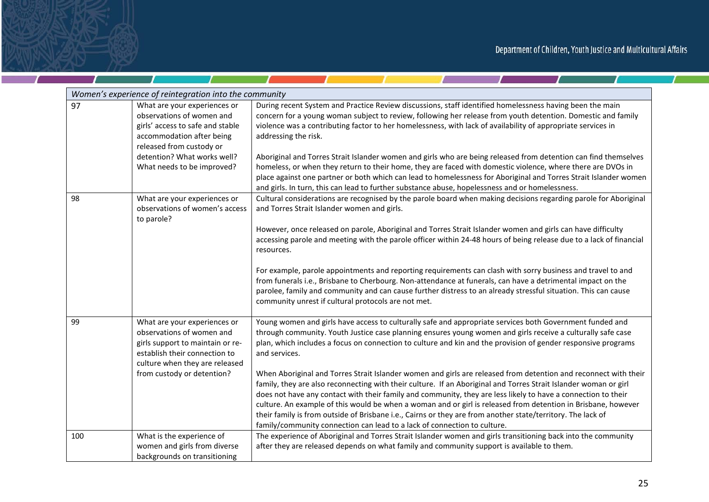$\mathcal{L}$  and  $\mathcal{L}$ 

<u>and the state of the state of the state of the state of the state of the state of the state of the state of the state of the state of the state of the state of the state of the state of the state of the state of the state</u>

| Women's experience of reintegration into the community |                                                                                                                                                                                                                     |                                                                                                                                                                                                                                                                                                                                                                                                                                                                                                                                                                                                                                                                                                                                                                                                                                                                                                                                                                                                                               |  |
|--------------------------------------------------------|---------------------------------------------------------------------------------------------------------------------------------------------------------------------------------------------------------------------|-------------------------------------------------------------------------------------------------------------------------------------------------------------------------------------------------------------------------------------------------------------------------------------------------------------------------------------------------------------------------------------------------------------------------------------------------------------------------------------------------------------------------------------------------------------------------------------------------------------------------------------------------------------------------------------------------------------------------------------------------------------------------------------------------------------------------------------------------------------------------------------------------------------------------------------------------------------------------------------------------------------------------------|--|
| 97                                                     | What are your experiences or<br>observations of women and<br>girls' access to safe and stable<br>accommodation after being<br>released from custody or<br>detention? What works well?<br>What needs to be improved? | During recent System and Practice Review discussions, staff identified homelessness having been the main<br>concern for a young woman subject to review, following her release from youth detention. Domestic and family<br>violence was a contributing factor to her homelessness, with lack of availability of appropriate services in<br>addressing the risk.<br>Aboriginal and Torres Strait Islander women and girls who are being released from detention can find themselves<br>homeless, or when they return to their home, they are faced with domestic violence, where there are DVOs in<br>place against one partner or both which can lead to homelessness for Aboriginal and Torres Strait Islander women<br>and girls. In turn, this can lead to further substance abuse, hopelessness and or homelessness.                                                                                                                                                                                                     |  |
| 98                                                     | What are your experiences or<br>observations of women's access<br>to parole?                                                                                                                                        | Cultural considerations are recognised by the parole board when making decisions regarding parole for Aboriginal<br>and Torres Strait Islander women and girls.<br>However, once released on parole, Aboriginal and Torres Strait Islander women and girls can have difficulty<br>accessing parole and meeting with the parole officer within 24-48 hours of being release due to a lack of financial<br>resources.<br>For example, parole appointments and reporting requirements can clash with sorry business and travel to and<br>from funerals i.e., Brisbane to Cherbourg. Non-attendance at funerals, can have a detrimental impact on the<br>parolee, family and community and can cause further distress to an already stressful situation. This can cause<br>community unrest if cultural protocols are not met.                                                                                                                                                                                                    |  |
| 99                                                     | What are your experiences or<br>observations of women and<br>girls support to maintain or re-<br>establish their connection to<br>culture when they are released<br>from custody or detention?                      | Young women and girls have access to culturally safe and appropriate services both Government funded and<br>through community. Youth Justice case planning ensures young women and girls receive a culturally safe case<br>plan, which includes a focus on connection to culture and kin and the provision of gender responsive programs<br>and services.<br>When Aboriginal and Torres Strait Islander women and girls are released from detention and reconnect with their<br>family, they are also reconnecting with their culture. If an Aboriginal and Torres Strait Islander woman or girl<br>does not have any contact with their family and community, they are less likely to have a connection to their<br>culture. An example of this would be when a woman and or girl is released from detention in Brisbane, however<br>their family is from outside of Brisbane i.e., Cairns or they are from another state/territory. The lack of<br>family/community connection can lead to a lack of connection to culture. |  |
| 100                                                    | What is the experience of<br>women and girls from diverse<br>backgrounds on transitioning                                                                                                                           | The experience of Aboriginal and Torres Strait Islander women and girls transitioning back into the community<br>after they are released depends on what family and community support is available to them.                                                                                                                                                                                                                                                                                                                                                                                                                                                                                                                                                                                                                                                                                                                                                                                                                   |  |